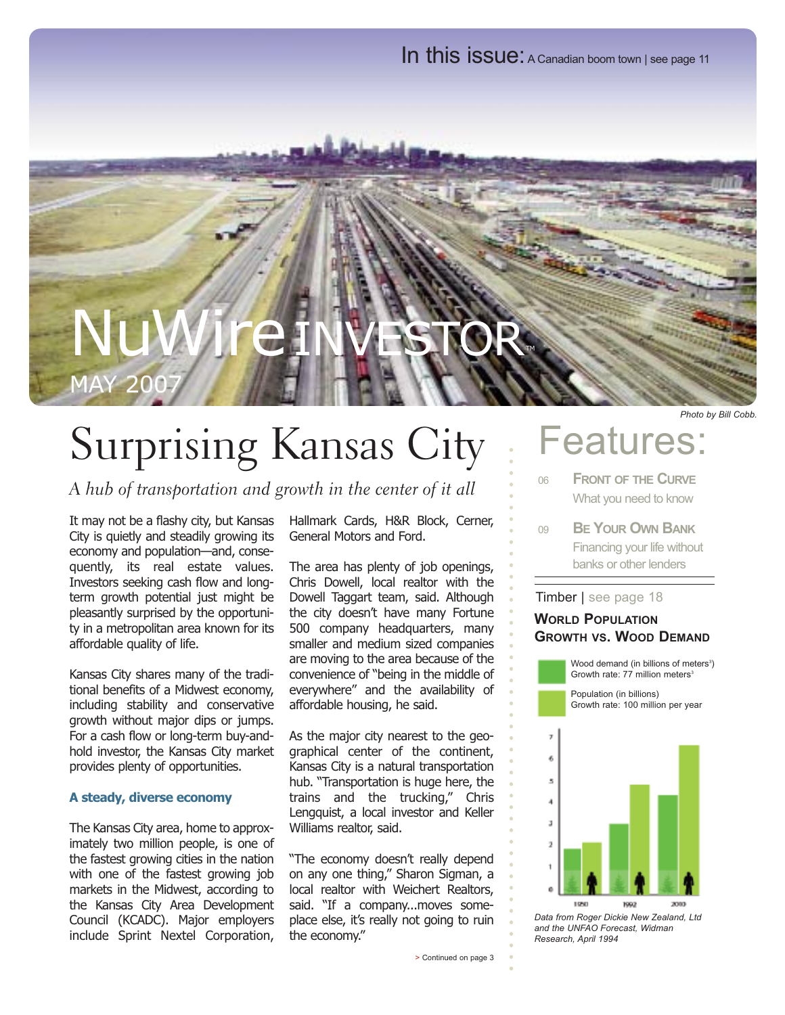In this issue: A Canadian boom town | see page 11

## NuWireINVESTOR MAY 2007

## Surprising Kansas City

A hub of transportation and growth in the center of it all

It may not be a flashy city, but Kansas City is quietly and steadily growing its economy and population—and, consequently, its real estate values. Investors seeking cash flow and longterm growth potential just might be pleasantly surprised by the opportunity in a metropolitan area known for its affordable quality of life.

Kansas City shares many of the traditional benefits of a Midwest economy, including stability and conservative growth without major dips or jumps. For a cash flow or long-term buy-andhold investor, the Kansas City market provides plenty of opportunities.

#### **A steady, diverse economy**

The Kansas City area, home to approximately two million people, is one of the fastest growing cities in the nation with one of the fastest growing job markets in the Midwest, according to the Kansas City Area Development Council (KCADC). Major employers include Sprint Nextel Corporation, Hallmark Cards, H&R Block, Cerner, General Motors and Ford.

The area has plenty of job openings, Chris Dowell, local realtor with the Dowell Taggart team, said. Although the city doesn't have many Fortune 500 company headquarters, many smaller and medium sized companies are moving to the area because of the convenience of "being in the middle of everywhere" and the availability of affordable housing, he said.

As the major city nearest to the geographical center of the continent, Kansas City is a natural transportation hub. "Transportation is huge here, the trains and the trucking," Chris Lengquist, a local investor and Keller Williams realtor, said.

"The economy doesn't really depend on any one thing," Sharon Sigman, a local realtor with Weichert Realtors, said. "If a company...moves someplace else, it's really not going to ruin the economy."

### Features:

*Photo by Bill Cobb.*

- <sup>06</sup> **FRONT OF THE CURVE** What you need to know
- <sup>09</sup> **BE YOUR OWN BANK** Financing your life without banks or other lenders

#### Timber | see page 18

#### **WORLD POPULATION GROWTH VS. WOOD DEMAND**

Wood demand (in billions of meters<sup>3</sup>) Growth rate:  $77$  million meters<sup>3</sup>

Population (in billions) Growth rate: 100 million per year



*Data from Roger Dickie New Zealand, Ltd and the UNFAO Forecast, Widman Research, April 1994*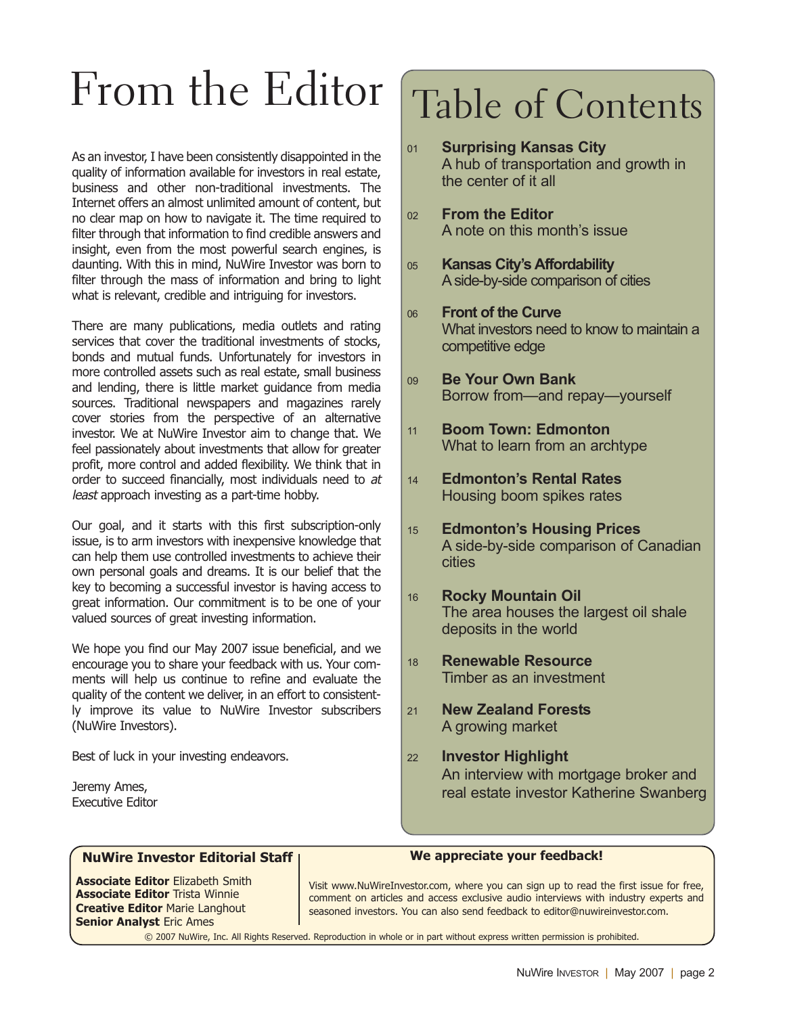## From the Editor

As an investor, I have been consistently disappointed in the quality of information available for investors in real estate, business and other non-traditional investments. The Internet offers an almost unlimited amount of content, but no clear map on how to navigate it. The time required to filter through that information to find credible answers and insight, even from the most powerful search engines, is daunting. With this in mind, NuWire Investor was born to filter through the mass of information and bring to light what is relevant, credible and intriguing for investors.

There are many publications, media outlets and rating services that cover the traditional investments of stocks, bonds and mutual funds. Unfortunately for investors in more controlled assets such as real estate, small business and lending, there is little market guidance from media sources. Traditional newspapers and magazines rarely cover stories from the perspective of an alternative investor. We at NuWire Investor aim to change that. We feel passionately about investments that allow for greater profit, more control and added flexibility. We think that in order to succeed financially, most individuals need to at least approach investing as a part-time hobby.

Our goal, and it starts with this first subscription-only issue, is to arm investors with inexpensive knowledge that can help them use controlled investments to achieve their own personal goals and dreams. It is our belief that the key to becoming a successful investor is having access to great information. Our commitment is to be one of your valued sources of great investing information.

We hope you find our May 2007 issue beneficial, and we encourage you to share your feedback with us. Your comments will help us continue to refine and evaluate the quality of the content we deliver, in an effort to consistently improve its value to NuWire Investor subscribers (NuWire Investors).

Best of luck in your investing endeavors.

Jeremy Ames, Executive Editor

## Table of Contents

- <sup>01</sup> **Surprising Kansas City** A hub of transportation and growth in the center of it all <sup>02</sup> **From the Editor** A note on this month's issue <sup>05</sup> **Kansas City's Affordability** A side-by-side comparison of cities <sup>06</sup> **Front of the Curve** What investors need to know to maintain a competitive edge <sup>09</sup> **Be Your Own Bank** Borrow from—and repay—yourself <sup>11</sup> **Boom Town: Edmonton** What to learn from an archtype <sup>14</sup> **Edmonton's Rental Rates** Housing boom spikes rates <sup>15</sup> **Edmonton's Housing Prices** A side-by-side comparison of Canadian cities <sup>16</sup> **Rocky Mountain Oil** The area houses the largest oil shale deposits in the world <sup>18</sup> **Renewable Resource** Timber as an investment
	- <sup>21</sup> **New Zealand Forests** A growing market
	- <sup>22</sup> **Investor Highlight** An interview with mortgage broker and real estate investor Katherine Swanberg

#### **NuWire Investor Editorial Staff**

**Associate Editor** Elizabeth Smith **Associate Editor** Trista Winnie **Creative Editor** Marie Langhout **Senior Analyst** Eric Ames

#### **We appreciate your feedback!**

Visit www.NuWireInvestor.com, where you can sign up to read the first issue for free, comment on articles and access exclusive audio interviews with industry experts and seasoned investors. You can also send feedback to editor@nuwireinvestor.com.

© 2007 NuWire, Inc. All Rights Reserved. Reproduction in whole or in part without express written permission is prohibited.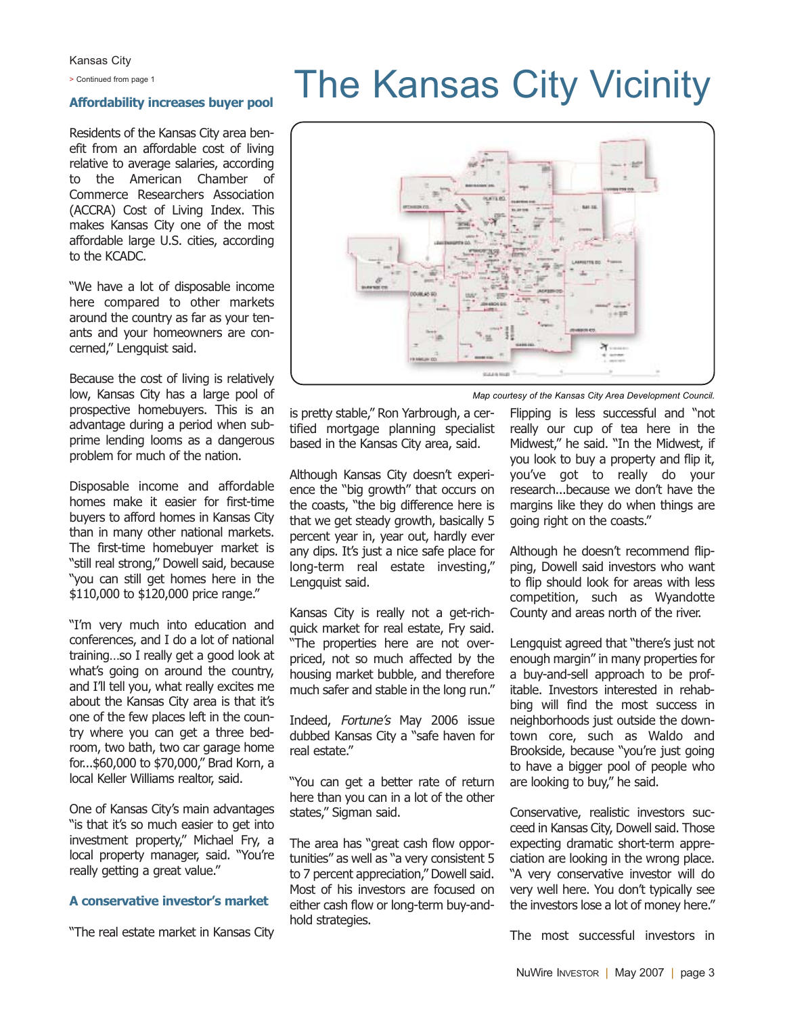Kansas City

#### **Affordability increases buyer pool**

Residents of the Kansas City area benefit from an affordable cost of living relative to average salaries, according to the American Chamber of Commerce Researchers Association (ACCRA) Cost of Living Index. This makes Kansas City one of the most affordable large U.S. cities, according to the KCADC.

"We have a lot of disposable income here compared to other markets around the country as far as your tenants and your homeowners are concerned," Lengquist said.

Because the cost of living is relatively low, Kansas City has a large pool of prospective homebuyers. This is an advantage during a period when subprime lending looms as a dangerous problem for much of the nation.

Disposable income and affordable homes make it easier for first-time buyers to afford homes in Kansas City than in many other national markets. The first-time homebuyer market is "still real strong," Dowell said, because "you can still get homes here in the \$110,000 to \$120,000 price range."

"I'm very much into education and conferences, and I do a lot of national training…so I really get a good look at what's going on around the country, and I'll tell you, what really excites me about the Kansas City area is that it's one of the few places left in the country where you can get a three bedroom, two bath, two car garage home for...\$60,000 to \$70,000," Brad Korn, a local Keller Williams realtor, said.

One of Kansas City's main advantages "is that it's so much easier to get into investment property," Michael Fry, a local property manager, said. "You're really getting a great value."

#### **A conservative investor's market**

"The real estate market in Kansas City

## > Continued from page 1<br>Affordability increases burge need The Kansas City Vicinity



*Map courtesy of the Kansas City Area Development Council.*

is pretty stable," Ron Yarbrough, a certified mortgage planning specialist based in the Kansas City area, said.

Although Kansas City doesn't experience the "big growth" that occurs on the coasts, "the big difference here is that we get steady growth, basically 5 percent year in, year out, hardly ever any dips. It's just a nice safe place for long-term real estate investing," Lengquist said.

Kansas City is really not a get-richquick market for real estate, Fry said. "The properties here are not overpriced, not so much affected by the housing market bubble, and therefore much safer and stable in the long run."

Indeed, Fortune's May 2006 issue dubbed Kansas City a "safe haven for real estate."

"You can get a better rate of return here than you can in a lot of the other states," Sigman said.

The area has "great cash flow opportunities" as well as "a very consistent 5 to 7 percent appreciation," Dowell said. Most of his investors are focused on either cash flow or long-term buy-andhold strategies.

Flipping is less successful and "not really our cup of tea here in the Midwest," he said. "In the Midwest, if you look to buy a property and flip it, you've got to really do your research...because we don't have the margins like they do when things are going right on the coasts."

Although he doesn't recommend flipping, Dowell said investors who want to flip should look for areas with less competition, such as Wyandotte County and areas north of the river.

Lengquist agreed that "there's just not enough margin" in many properties for a buy-and-sell approach to be profitable. Investors interested in rehabbing will find the most success in neighborhoods just outside the downtown core, such as Waldo and Brookside, because "you're just going to have a bigger pool of people who are looking to buy," he said.

Conservative, realistic investors succeed in Kansas City, Dowell said. Those expecting dramatic short-term appreciation are looking in the wrong place. "A very conservative investor will do very well here. You don't typically see the investors lose a lot of money here."

The most successful investors in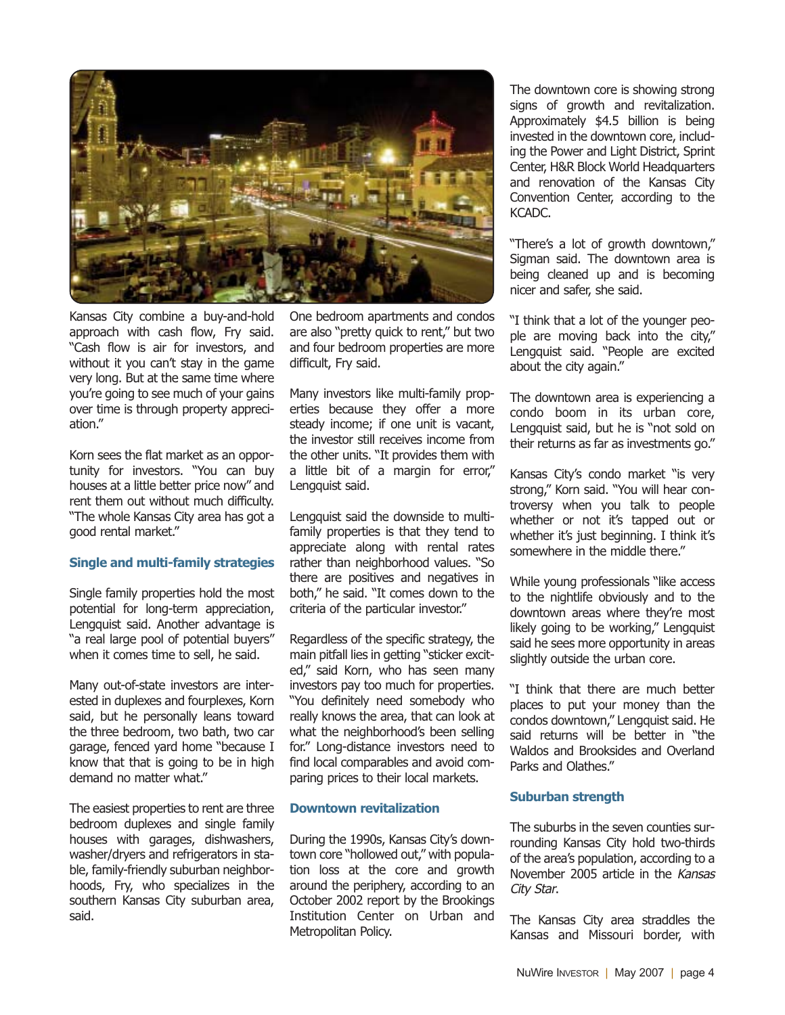

Kansas City combine a buy-and-hold approach with cash flow, Fry said. "Cash flow is air for investors, and without it you can't stay in the game very long. But at the same time where you're going to see much of your gains over time is through property appreciation."

Korn sees the flat market as an opportunity for investors. "You can buy houses at a little better price now" and rent them out without much difficulty. "The whole Kansas City area has got a good rental market."

#### **Single and multi-family strategies**

Single family properties hold the most potential for long-term appreciation, Lengquist said. Another advantage is "a real large pool of potential buyers" when it comes time to sell, he said.

Many out-of-state investors are interested in duplexes and fourplexes, Korn said, but he personally leans toward the three bedroom, two bath, two car garage, fenced yard home "because I know that that is going to be in high demand no matter what."

The easiest properties to rent are three bedroom duplexes and single family houses with garages, dishwashers, washer/dryers and refrigerators in stable, family-friendly suburban neighborhoods, Fry, who specializes in the southern Kansas City suburban area, said.

One bedroom apartments and condos are also "pretty quick to rent," but two and four bedroom properties are more difficult, Fry said.

Many investors like multi-family properties because they offer a more steady income; if one unit is vacant, the investor still receives income from the other units. "It provides them with a little bit of a margin for error," Lengquist said.

Lengquist said the downside to multifamily properties is that they tend to appreciate along with rental rates rather than neighborhood values. "So there are positives and negatives in both," he said. "It comes down to the criteria of the particular investor."

Regardless of the specific strategy, the main pitfall lies in getting "sticker excited," said Korn, who has seen many investors pay too much for properties. "You definitely need somebody who really knows the area, that can look at what the neighborhood's been selling for." Long-distance investors need to find local comparables and avoid comparing prices to their local markets.

#### **Downtown revitalization**

During the 1990s, Kansas City's downtown core "hollowed out," with population loss at the core and growth around the periphery, according to an October 2002 report by the Brookings Institution Center on Urban and Metropolitan Policy.

The downtown core is showing strong signs of growth and revitalization. Approximately \$4.5 billion is being invested in the downtown core, including the Power and Light District, Sprint Center, H&R Block World Headquarters and renovation of the Kansas City Convention Center, according to the KCADC.

"There's a lot of growth downtown," Sigman said. The downtown area is being cleaned up and is becoming nicer and safer, she said.

"I think that a lot of the younger people are moving back into the city," Lengquist said. "People are excited about the city again."

The downtown area is experiencing a condo boom in its urban core, Lengquist said, but he is "not sold on their returns as far as investments go."

Kansas City's condo market "is very strong," Korn said. "You will hear controversy when you talk to people whether or not it's tapped out or whether it's just beginning. I think it's somewhere in the middle there."

While young professionals "like access to the nightlife obviously and to the downtown areas where they're most likely going to be working," Lengquist said he sees more opportunity in areas slightly outside the urban core.

"I think that there are much better places to put your money than the condos downtown," Lengquist said. He said returns will be better in "the Waldos and Brooksides and Overland Parks and Olathes."

#### **Suburban strength**

The suburbs in the seven counties surrounding Kansas City hold two-thirds of the area's population, according to a November 2005 article in the Kansas City Star.

The Kansas City area straddles the Kansas and Missouri border, with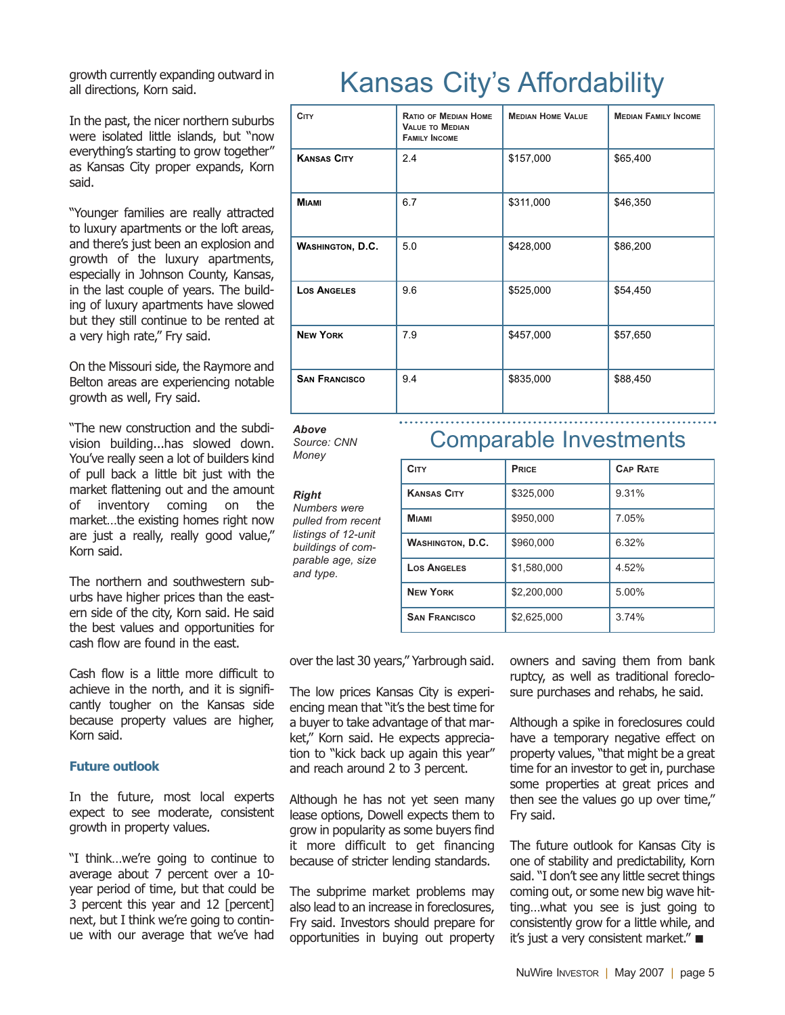growth currently expanding outward in all directions, Korn said.

In the past, the nicer northern suburbs were isolated little islands, but "now everything's starting to grow together" as Kansas City proper expands, Korn said.

"Younger families are really attracted to luxury apartments or the loft areas, and there's just been an explosion and growth of the luxury apartments, especially in Johnson County, Kansas, in the last couple of years. The building of luxury apartments have slowed but they still continue to be rented at a very high rate," Fry said.

On the Missouri side, the Raymore and Belton areas are experiencing notable growth as well, Fry said.

"The new construction and the subdivision building...has slowed down. You've really seen a lot of builders kind of pull back a little bit just with the market flattening out and the amount of inventory coming on the market…the existing homes right now are just a really, really good value," Korn said.

The northern and southwestern suburbs have higher prices than the eastern side of the city, Korn said. He said the best values and opportunities for cash flow are found in the east.

Cash flow is a little more difficult to achieve in the north, and it is significantly tougher on the Kansas side because property values are higher, Korn said.

#### **Future outlook**

In the future, most local experts expect to see moderate, consistent growth in property values.

"I think…we're going to continue to average about 7 percent over a 10 year period of time, but that could be 3 percent this year and 12 [percent] next, but I think we're going to continue with our average that we've had

### Kansas City's Affordability

| <b>CITY</b>             | <b>RATIO OF MEDIAN HOME</b><br><b>VALUE TO MEDIAN</b><br><b>FAMILY INCOME</b> | <b>MEDIAN HOME VALUE</b> | <b>MEDIAN FAMILY INCOME</b> |
|-------------------------|-------------------------------------------------------------------------------|--------------------------|-----------------------------|
| <b>KANSAS CITY</b>      | 2.4                                                                           | \$157,000                | \$65,400                    |
| <b>MIAMI</b>            | 6.7                                                                           | \$311,000                | \$46,350                    |
| <b>WASHINGTON, D.C.</b> | 5.0                                                                           | \$428,000                | \$86,200                    |
| <b>LOS ANGELES</b>      | 9.6                                                                           | \$525,000                | \$54,450                    |
| <b>NEW YORK</b>         | 7.9                                                                           | \$457,000                | \$57,650                    |
| <b>SAN FRANCISCO</b>    | 9.4                                                                           | \$835,000                | \$88,450                    |

*Source: CNN Money*

#### *Right*

*Numbers were pulled from recent listings of 12-unit buildings of comparable age, size and type.*

### Above<br> *Source: CNN* **Comparable Investments**

| <b>CITY</b>             | PRICE       | <b>CAP RATE</b> |
|-------------------------|-------------|-----------------|
| <b>KANSAS CITY</b>      | \$325,000   | 9.31%           |
| <b>MIAMI</b>            | \$950,000   | 7.05%           |
| <b>WASHINGTON, D.C.</b> | \$960,000   | 6.32%           |
| <b>LOS ANGELES</b>      | \$1,580,000 | 4.52%           |
| <b>NEW YORK</b>         | \$2,200,000 | 5.00%           |
| <b>SAN FRANCISCO</b>    | \$2,625,000 | 3.74%           |

over the last 30 years," Yarbrough said.

The low prices Kansas City is experiencing mean that "it's the best time for a buyer to take advantage of that market," Korn said. He expects appreciation to "kick back up again this year" and reach around 2 to 3 percent.

Although he has not yet seen many lease options, Dowell expects them to grow in popularity as some buyers find it more difficult to get financing because of stricter lending standards.

The subprime market problems may also lead to an increase in foreclosures, Fry said. Investors should prepare for opportunities in buying out property owners and saving them from bank ruptcy, as well as traditional foreclosure purchases and rehabs, he said.

Although a spike in foreclosures could have a temporary negative effect on property values, "that might be a great time for an investor to get in, purchase some properties at great prices and then see the values go up over time," Fry said.

The future outlook for Kansas City is one of stability and predictability, Korn said. "I don't see any little secret things coming out, or some new big wave hitting…what you see is just going to consistently grow for a little while, and it's just a very consistent market." ■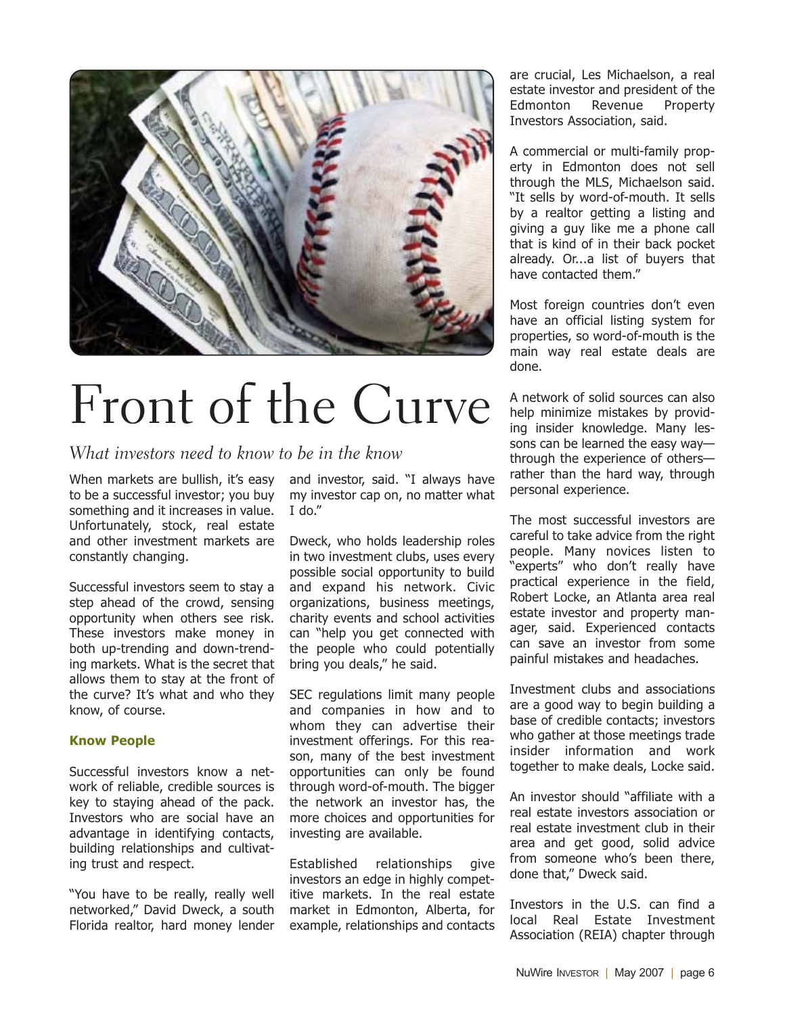

# Front of the Curve

What investors need to know to be in the know

When markets are bullish, it's easy to be a successful investor; you buy something and it increases in value. Unfortunately, stock, real estate and other investment markets are constantly changing.

Successful investors seem to stay a step ahead of the crowd, sensing opportunity when others see risk. These investors make money in both up-trending and down-trending markets. What is the secret that allows them to stay at the front of the curve? It's what and who they know, of course.

#### **Know People**

Successful investors know a network of reliable, credible sources is key to staying ahead of the pack. Investors who are social have an advantage in identifying contacts, building relationships and cultivating trust and respect.

"You have to be really, really well networked," David Dweck, a south Florida realtor, hard money lender and investor, said. "I always have my investor cap on, no matter what I do."

Dweck, who holds leadership roles in two investment clubs, uses every possible social opportunity to build and expand his network. Civic organizations, business meetings, charity events and school activities can "help you get connected with the people who could potentially bring you deals," he said.

SEC regulations limit many people and companies in how and to whom they can advertise their investment offerings. For this reason, many of the best investment opportunities can only be found through word-of-mouth. The bigger the network an investor has, the more choices and opportunities for investing are available.

Established relationships give investors an edge in highly competitive markets. In the real estate market in Edmonton, Alberta, for example, relationships and contacts are crucial, Les Michaelson, a real estate investor and president of the Edmonton Revenue Property Investors Association, said.

A commercial or multi-family property in Edmonton does not sell through the MLS, Michaelson said. "It sells by word-of-mouth. It sells by a realtor getting a listing and giving a guy like me a phone call that is kind of in their back pocket already. Or...a list of buyers that have contacted them."

Most foreign countries don't even have an official listing system for properties, so word-of-mouth is the main way real estate deals are done.

A network of solid sources can also help minimize mistakes by providing insider knowledge. Many lessons can be learned the easy way through the experience of others rather than the hard way, through personal experience.

The most successful investors are careful to take advice from the right people. Many novices listen to "experts" who don't really have practical experience in the field, Robert Locke, an Atlanta area real estate investor and property manager, said. Experienced contacts can save an investor from some painful mistakes and headaches.

Investment clubs and associations are a good way to begin building a base of credible contacts; investors who gather at those meetings trade insider information and work together to make deals, Locke said.

An investor should "affiliate with a real estate investors association or real estate investment club in their area and get good, solid advice from someone who's been there, done that," Dweck said.

Investors in the U.S. can find a local Real Estate Investment Association (REIA) chapter through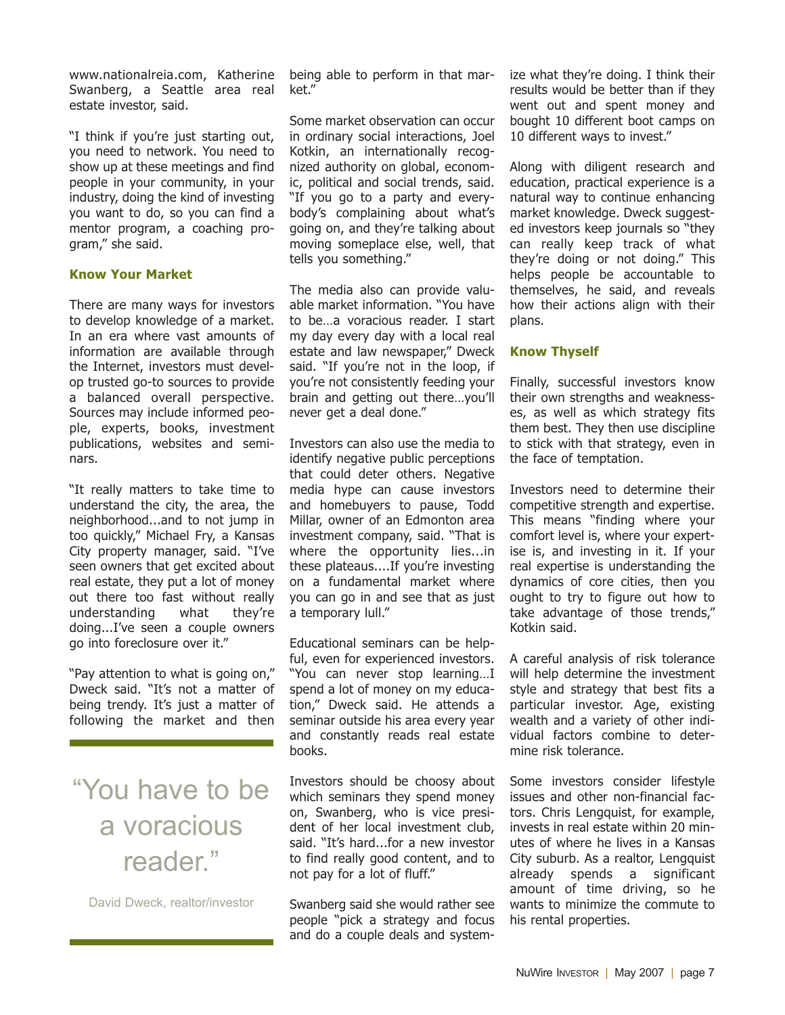www.nationalreia.com, Katherine Swanberg, a Seattle area real estate investor, said.

"I think if you're just starting out, you need to network. You need to show up at these meetings and find people in your community, in your industry, doing the kind of investing you want to do, so you can find a mentor program, a coaching program," she said.

#### **Know Your Market**

There are many ways for investors to develop knowledge of a market. In an era where vast amounts of information are available through the Internet, investors must develop trusted go-to sources to provide a balanced overall perspective. Sources may include informed people, experts, books, investment publications, websites and seminars.

"It really matters to take time to understand the city, the area, the neighborhood...and to not jump in too quickly," Michael Fry, a Kansas City property manager, said. "I've seen owners that get excited about real estate, they put a lot of money out there too fast without really understanding what they're doing...I've seen a couple owners go into foreclosure over it."

"Pay attention to what is going on," Dweck said. "It's not a matter of being trendy. It's just a matter of following the market and then

### "You have to be a voracious reader."

David Dweck, realtor/investor

being able to perform in that market."

Some market observation can occur in ordinary social interactions, Joel Kotkin, an internationally recognized authority on global, economic, political and social trends, said. "If you go to a party and everybody's complaining about what's going on, and they're talking about moving someplace else, well, that tells you something."

The media also can provide valuable market information. "You have to be…a voracious reader. I start my day every day with a local real estate and law newspaper," Dweck said. "If you're not in the loop, if you're not consistently feeding your brain and getting out there…you'll never get a deal done."

Investors can also use the media to identify negative public perceptions that could deter others. Negative media hype can cause investors and homebuyers to pause, Todd Millar, owner of an Edmonton area investment company, said. "That is where the opportunity lies...in these plateaus....If you're investing on a fundamental market where you can go in and see that as just a temporary lull."

Educational seminars can be helpful, even for experienced investors. "You can never stop learning…I spend a lot of money on my education," Dweck said. He attends a seminar outside his area every year and constantly reads real estate books.

Investors should be choosy about which seminars they spend money on, Swanberg, who is vice president of her local investment club, said. "It's hard...for a new investor to find really good content, and to not pay for a lot of fluff."

Swanberg said she would rather see people "pick a strategy and focus and do a couple deals and systemize what they're doing. I think their results would be better than if they went out and spent money and bought 10 different boot camps on 10 different ways to invest."

Along with diligent research and education, practical experience is a natural way to continue enhancing market knowledge. Dweck suggested investors keep journals so "they can really keep track of what they're doing or not doing." This helps people be accountable to themselves, he said, and reveals how their actions align with their plans.

#### **Know Thyself**

Finally, successful investors know their own strengths and weaknesses, as well as which strategy fits them best. They then use discipline to stick with that strategy, even in the face of temptation.

Investors need to determine their competitive strength and expertise. This means "finding where your comfort level is, where your expertise is, and investing in it. If your real expertise is understanding the dynamics of core cities, then you ought to try to figure out how to take advantage of those trends," Kotkin said.

A careful analysis of risk tolerance will help determine the investment style and strategy that best fits a particular investor. Age, existing wealth and a variety of other individual factors combine to determine risk tolerance.

Some investors consider lifestyle issues and other non-financial factors. Chris Lengquist, for example, invests in real estate within 20 minutes of where he lives in a Kansas City suburb. As a realtor, Lengquist already spends a significant amount of time driving, so he wants to minimize the commute to his rental properties.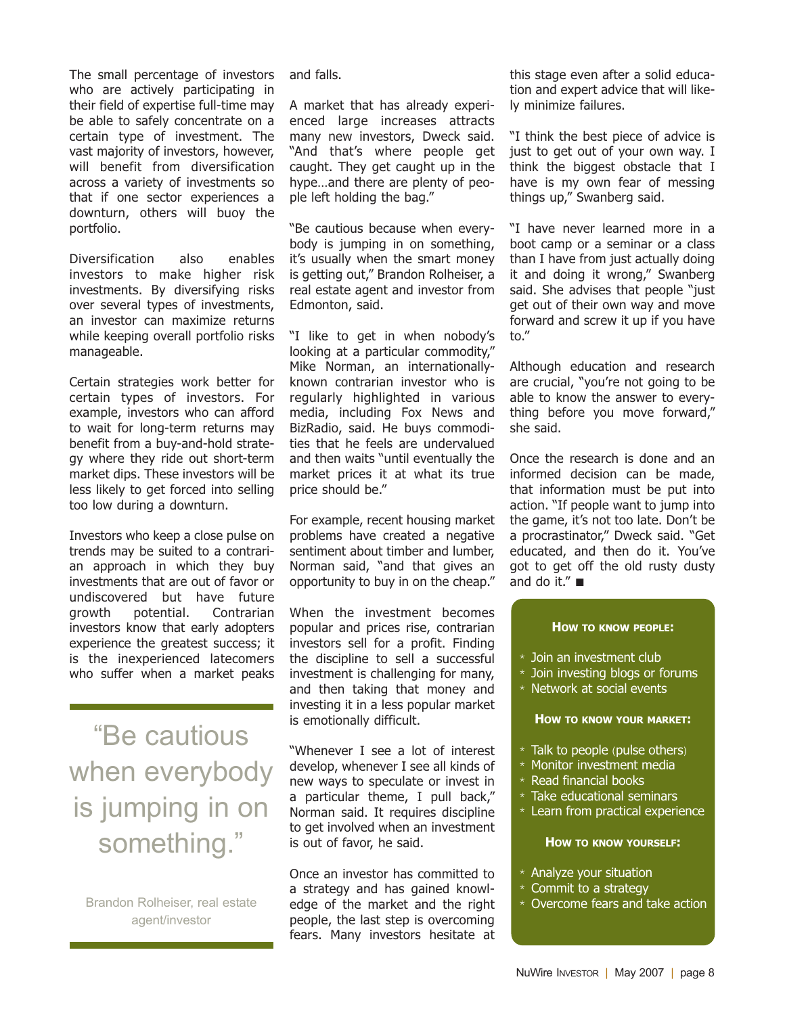The small percentage of investors who are actively participating in their field of expertise full-time may be able to safely concentrate on a certain type of investment. The vast majority of investors, however, will benefit from diversification across a variety of investments so that if one sector experiences a downturn, others will buoy the portfolio.

Diversification also enables investors to make higher risk investments. By diversifying risks over several types of investments, an investor can maximize returns while keeping overall portfolio risks manageable.

Certain strategies work better for certain types of investors. For example, investors who can afford to wait for long-term returns may benefit from a buy-and-hold strategy where they ride out short-term market dips. These investors will be less likely to get forced into selling too low during a downturn.

Investors who keep a close pulse on trends may be suited to a contrarian approach in which they buy investments that are out of favor or undiscovered but have future growth potential. Contrarian investors know that early adopters experience the greatest success; it is the inexperienced latecomers who suffer when a market peaks

"Be cautious when everybody is jumping in on something."

Brandon Rolheiser, real estate agent/investor

and falls.

A market that has already experienced large increases attracts many new investors, Dweck said. "And that's where people get caught. They get caught up in the hype…and there are plenty of people left holding the bag."

"Be cautious because when everybody is jumping in on something, it's usually when the smart money is getting out," Brandon Rolheiser, a real estate agent and investor from Edmonton, said.

"I like to get in when nobody's looking at a particular commodity," Mike Norman, an internationallyknown contrarian investor who is regularly highlighted in various media, including Fox News and BizRadio, said. He buys commodities that he feels are undervalued and then waits "until eventually the market prices it at what its true price should be."

For example, recent housing market problems have created a negative sentiment about timber and lumber, Norman said, "and that gives an opportunity to buy in on the cheap."

When the investment becomes popular and prices rise, contrarian investors sell for a profit. Finding the discipline to sell a successful investment is challenging for many, and then taking that money and investing it in a less popular market is emotionally difficult.

"Whenever I see a lot of interest develop, whenever I see all kinds of new ways to speculate or invest in a particular theme, I pull back," Norman said. It requires discipline to get involved when an investment is out of favor, he said.

Once an investor has committed to a strategy and has gained knowledge of the market and the right people, the last step is overcoming fears. Many investors hesitate at this stage even after a solid education and expert advice that will likely minimize failures.

"I think the best piece of advice is just to get out of your own way. I think the biggest obstacle that I have is my own fear of messing things up," Swanberg said.

"I have never learned more in a boot camp or a seminar or a class than I have from just actually doing it and doing it wrong," Swanberg said. She advises that people "just get out of their own way and move forward and screw it up if you have to."

Although education and research are crucial, "you're not going to be able to know the answer to everything before you move forward," she said.

Once the research is done and an informed decision can be made, that information must be put into action. "If people want to jump into the game, it's not too late. Don't be a procrastinator," Dweck said. "Get educated, and then do it. You've got to get off the old rusty dusty and do it." ■

#### **HOW TO KNOW PEOPLE:**

- $*$  Join an investment club
- $*$  Join investing blogs or forums
- \* Network at social events

#### **HOW TO KNOW YOUR MARKET:**

- $*$  Talk to people (pulse others)
- Monitor investment media
- $*$  Read financial books
- $*$  Take educational seminars
- \* Learn from practical experience

#### **HOW TO KNOW YOURSELF:**

- $*$  Analyze your situation
- $*$  Commit to a strategy
- \* Overcome fears and take action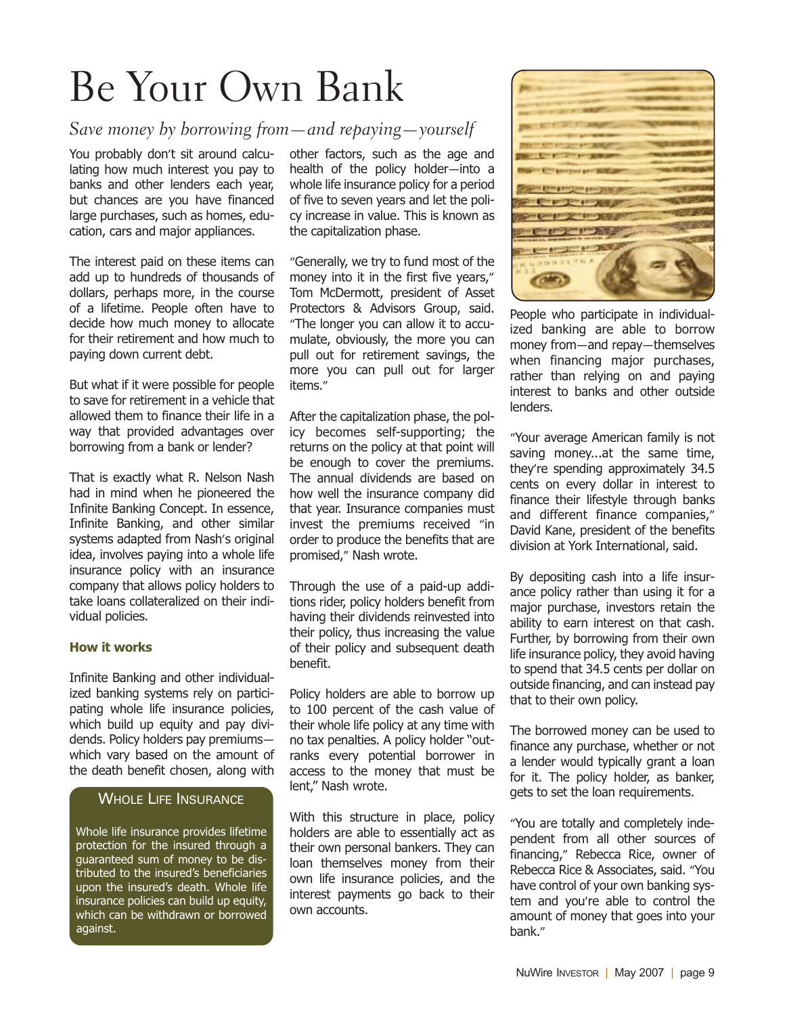## Be Your Own Bank

#### Save money by borrowing from—and repaying—yourself

You probably don't sit around calculating how much interest you pay to banks and other lenders each year, but chances are you have financed large purchases, such as homes, education, cars and major appliances.

The interest paid on these items can add up to hundreds of thousands of dollars, perhaps more, in the course of a lifetime. People often have to decide how much money to allocate for their retirement and how much to paying down current debt.

But what if it were possible for people to save for retirement in a vehicle that allowed them to finance their life in a way that provided advantages over borrowing from a bank or lender?

That is exactly what R. Nelson Nash had in mind when he pioneered the Infinite Banking Concept. In essence, Infinite Banking, and other similar systems adapted from Nash's original idea, involves paying into a whole life insurance policy with an insurance company that allows policy holders to take loans collateralized on their individual policies.

#### **How it works**

Infinite Banking and other individualized banking systems rely on participating whole life insurance policies, which build up equity and pay dividends. Policy holders pay premiums which vary based on the amount of the death benefit chosen, along with

#### WHOLE LIFE INSURANCE

Whole life insurance provides lifetime protection for the insured through a guaranteed sum of money to be distributed to the insured's beneficiaries upon the insured's death. Whole life insurance policies can build up equity, which can be withdrawn or borrowed against.

other factors, such as the age and health of the policy holder—into a whole life insurance policy for a period of five to seven years and let the policy increase in value. This is known as the capitalization phase.

"Generally, we try to fund most of the money into it in the first five years," Tom McDermott, president of Asset Protectors & Advisors Group, said. "The longer you can allow it to accumulate, obviously, the more you can pull out for retirement savings, the more you can pull out for larger items."

After the capitalization phase, the policy becomes self-supporting; the returns on the policy at that point will be enough to cover the premiums. The annual dividends are based on how well the insurance company did that year. Insurance companies must invest the premiums received "in order to produce the benefits that are promised," Nash wrote.

Through the use of a paid-up additions rider, policy holders benefit from having their dividends reinvested into their policy, thus increasing the value of their policy and subsequent death benefit.

Policy holders are able to borrow up to 100 percent of the cash value of their whole life policy at any time with no tax penalties. A policy holder "outranks every potential borrower in access to the money that must be lent," Nash wrote.

With this structure in place, policy holders are able to essentially act as their own personal bankers. They can loan themselves money from their own life insurance policies, and the interest payments go back to their own accounts.



People who participate in individualized banking are able to borrow money from—and repay—themselves when financing major purchases, rather than relying on and paying interest to banks and other outside lenders.

"Your average American family is not saving money...at the same time, they're spending approximately 34.5 cents on every dollar in interest to finance their lifestyle through banks and different finance companies," David Kane, president of the benefits division at York International, said.

By depositing cash into a life insurance policy rather than using it for a major purchase, investors retain the ability to earn interest on that cash. Further, by borrowing from their own life insurance policy, they avoid having to spend that 34.5 cents per dollar on outside financing, and can instead pay that to their own policy.

The borrowed money can be used to finance any purchase, whether or not a lender would typically grant a loan for it. The policy holder, as banker, gets to set the loan requirements.

"You are totally and completely independent from all other sources of financing," Rebecca Rice, owner of Rebecca Rice & Associates, said. "You have control of your own banking system and you're able to control the amount of money that goes into your bank."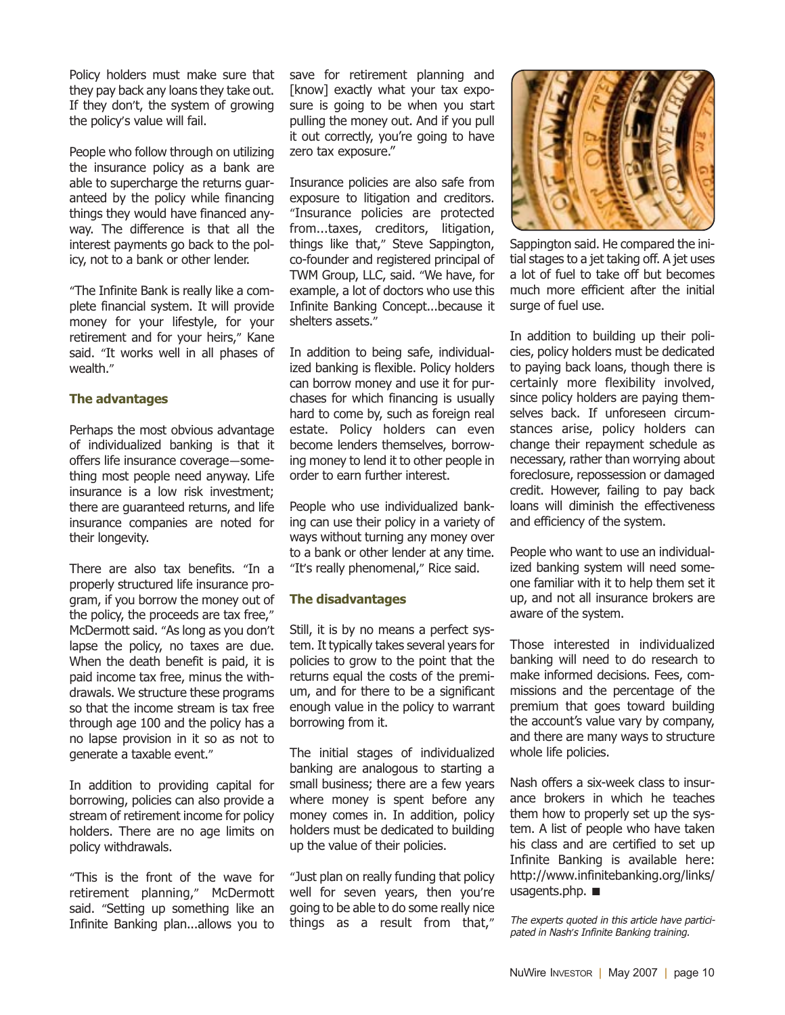Policy holders must make sure that they pay back any loans they take out. If they don't, the system of growing the policy's value will fail.

People who follow through on utilizing the insurance policy as a bank are able to supercharge the returns guaranteed by the policy while financing things they would have financed anyway. The difference is that all the interest payments go back to the policy, not to a bank or other lender.

"The Infinite Bank is really like a complete financial system. It will provide money for your lifestyle, for your retirement and for your heirs," Kane said. "It works well in all phases of wealth."

#### **The advantages**

Perhaps the most obvious advantage of individualized banking is that it offers life insurance coverage—something most people need anyway. Life insurance is a low risk investment; there are guaranteed returns, and life insurance companies are noted for their longevity.

There are also tax benefits. "In a properly structured life insurance program, if you borrow the money out of the policy, the proceeds are tax free," McDermott said. "As long as you don't lapse the policy, no taxes are due. When the death benefit is paid, it is paid income tax free, minus the withdrawals. We structure these programs so that the income stream is tax free through age 100 and the policy has a no lapse provision in it so as not to generate a taxable event."

In addition to providing capital for borrowing, policies can also provide a stream of retirement income for policy holders. There are no age limits on policy withdrawals.

"This is the front of the wave for retirement planning," McDermott said. "Setting up something like an Infinite Banking plan...allows you to

save for retirement planning and [know] exactly what your tax exposure is going to be when you start pulling the money out. And if you pull it out correctly, you're going to have zero tax exposure."

Insurance policies are also safe from exposure to litigation and creditors. "Insurance policies are protected from...taxes, creditors, litigation, things like that," Steve Sappington, co-founder and registered principal of TWM Group, LLC, said. "We have, for example, a lot of doctors who use this Infinite Banking Concept...because it shelters assets."

In addition to being safe, individualized banking is flexible. Policy holders can borrow money and use it for purchases for which financing is usually hard to come by, such as foreign real estate. Policy holders can even become lenders themselves, borrowing money to lend it to other people in order to earn further interest.

People who use individualized banking can use their policy in a variety of ways without turning any money over to a bank or other lender at any time. "It's really phenomenal," Rice said.

#### **The disadvantages**

Still, it is by no means a perfect system. It typically takes several years for policies to grow to the point that the returns equal the costs of the premium, and for there to be a significant enough value in the policy to warrant borrowing from it.

The initial stages of individualized banking are analogous to starting a small business; there are a few years where money is spent before any money comes in. In addition, policy holders must be dedicated to building up the value of their policies.

"Just plan on really funding that policy well for seven years, then you're going to be able to do some really nice things as a result from that,"



Sappington said. He compared the initial stages to a jet taking off. A jet uses a lot of fuel to take off but becomes much more efficient after the initial surge of fuel use.

In addition to building up their policies, policy holders must be dedicated to paying back loans, though there is certainly more flexibility involved, since policy holders are paying themselves back. If unforeseen circumstances arise, policy holders can change their repayment schedule as necessary, rather than worrying about foreclosure, repossession or damaged credit. However, failing to pay back loans will diminish the effectiveness and efficiency of the system.

People who want to use an individualized banking system will need someone familiar with it to help them set it up, and not all insurance brokers are aware of the system.

Those interested in individualized banking will need to do research to make informed decisions. Fees, commissions and the percentage of the premium that goes toward building the account's value vary by company, and there are many ways to structure whole life policies.

Nash offers a six-week class to insurance brokers in which he teaches them how to properly set up the system. A list of people who have taken his class and are certified to set up Infinite Banking is available here: http://www.infinitebanking.org/links/ usagents.php. ■

The experts quoted in this article have participated in Nash*'*<sup>s</sup> Infinite Banking training.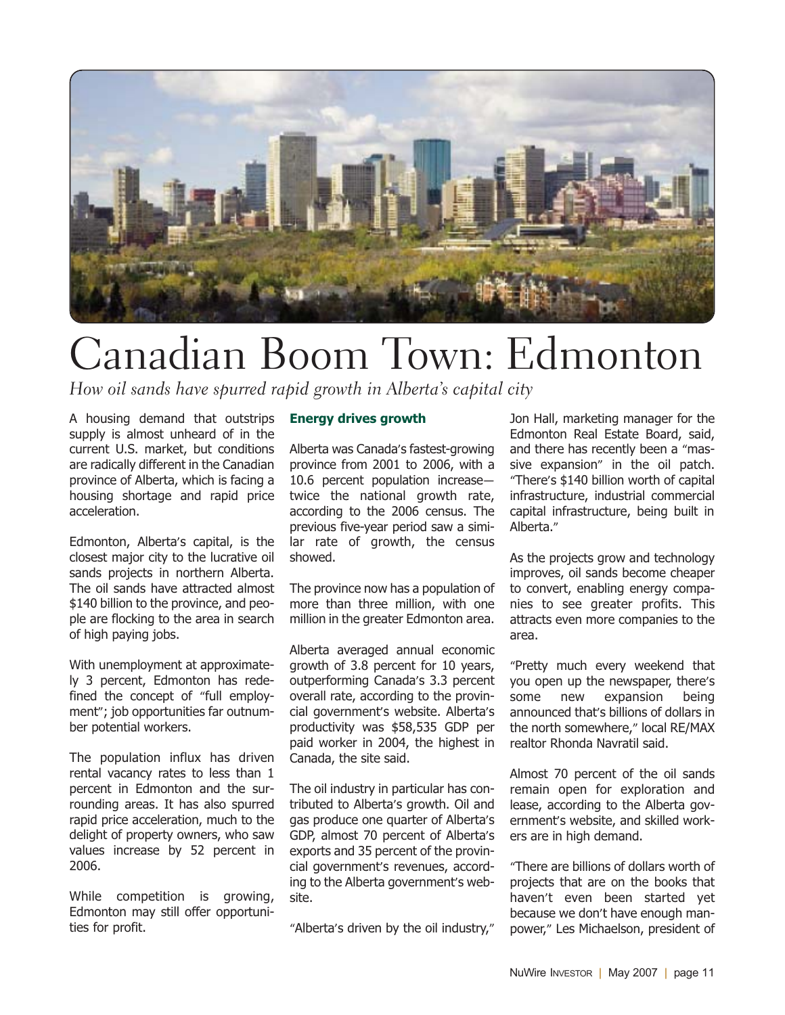

## Canadian Boom Town: Edmonton

How oil sands have spurred rapid growth in Alberta's capital city

A housing demand that outstrips supply is almost unheard of in the current U.S. market, but conditions are radically different in the Canadian province of Alberta, which is facing a housing shortage and rapid price acceleration.

Edmonton, Alberta's capital, is the closest major city to the lucrative oil sands projects in northern Alberta. The oil sands have attracted almost \$140 billion to the province, and people are flocking to the area in search of high paying jobs.

With unemployment at approximately 3 percent, Edmonton has redefined the concept of "full employment"; job opportunities far outnumber potential workers.

The population influx has driven rental vacancy rates to less than 1 percent in Edmonton and the surrounding areas. It has also spurred rapid price acceleration, much to the delight of property owners, who saw values increase by 52 percent in 2006.

While competition is growing, Edmonton may still offer opportunities for profit.

#### **Energy drives growth**

Alberta was Canada's fastest-growing province from 2001 to 2006, with a 10.6 percent population increase twice the national growth rate, according to the 2006 census. The previous five-year period saw a similar rate of growth, the census showed.

The province now has a population of more than three million, with one million in the greater Edmonton area.

Alberta averaged annual economic growth of 3.8 percent for 10 years, outperforming Canada's 3.3 percent overall rate, according to the provincial government's website. Alberta's productivity was \$58,535 GDP per paid worker in 2004, the highest in Canada, the site said.

The oil industry in particular has contributed to Alberta's growth. Oil and gas produce one quarter of Alberta's GDP, almost 70 percent of Alberta's exports and 35 percent of the provincial government's revenues, according to the Alberta government's website.

"Alberta's driven by the oil industry,"

Jon Hall, marketing manager for the Edmonton Real Estate Board, said, and there has recently been a "massive expansion" in the oil patch. "There's \$140 billion worth of capital infrastructure, industrial commercial capital infrastructure, being built in Alberta."

As the projects grow and technology improves, oil sands become cheaper to convert, enabling energy companies to see greater profits. This attracts even more companies to the area.

"Pretty much every weekend that you open up the newspaper, there's some new expansion being announced that's billions of dollars in the north somewhere," local RE/MAX realtor Rhonda Navratil said.

Almost 70 percent of the oil sands remain open for exploration and lease, according to the Alberta government's website, and skilled workers are in high demand.

"There are billions of dollars worth of projects that are on the books that haven't even been started yet because we don't have enough manpower," Les Michaelson, president of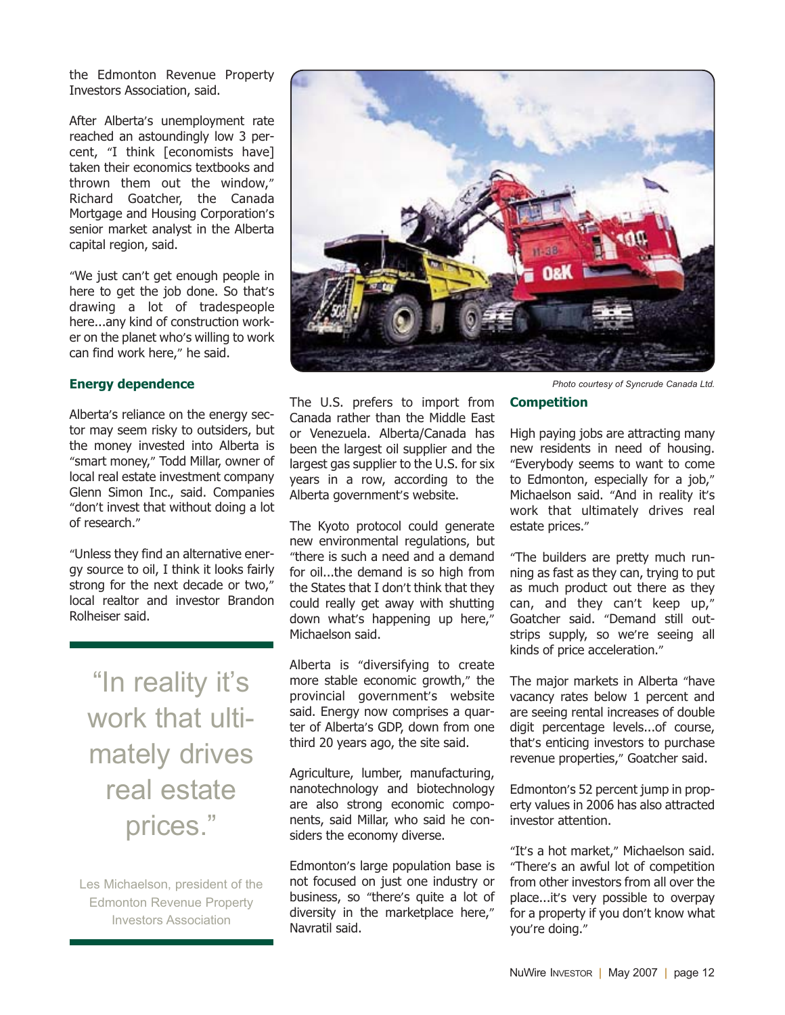the Edmonton Revenue Property Investors Association, said.

After Alberta's unemployment rate reached an astoundingly low 3 percent, "I think [economists have] taken their economics textbooks and thrown them out the window," Richard Goatcher, the Canada Mortgage and Housing Corporation's senior market analyst in the Alberta capital region, said.

"We just can't get enough people in here to get the job done. So that's drawing a lot of tradespeople here...any kind of construction worker on the planet who's willing to work can find work here," he said.

#### **Energy dependence**

Alberta's reliance on the energy sector may seem risky to outsiders, but the money invested into Alberta is "smart money," Todd Millar, owner of local real estate investment company Glenn Simon Inc., said. Companies "don't invest that without doing a lot of research."

"Unless they find an alternative energy source to oil, I think it looks fairly strong for the next decade or two," local realtor and investor Brandon Rolheiser said.

"In reality it's work that ultimately drives real estate prices."

Les Michaelson, president of the Edmonton Revenue Property Investors Association



The U.S. prefers to import from Canada rather than the Middle East or Venezuela. Alberta/Canada has been the largest oil supplier and the largest gas supplier to the U.S. for six years in a row, according to the Alberta government's website.

The Kyoto protocol could generate new environmental regulations, but "there is such a need and a demand for oil...the demand is so high from the States that I don't think that they could really get away with shutting down what's happening up here," Michaelson said.

Alberta is "diversifying to create more stable economic growth," the provincial government's website said. Energy now comprises a quarter of Alberta's GDP, down from one third 20 years ago, the site said.

Agriculture, lumber, manufacturing, nanotechnology and biotechnology are also strong economic components, said Millar, who said he considers the economy diverse.

Edmonton's large population base is not focused on just one industry or business, so "there's quite a lot of diversity in the marketplace here," Navratil said.

*Photo courtesy of Syncrude Canada Ltd.*

#### **Competition**

High paying jobs are attracting many new residents in need of housing. "Everybody seems to want to come to Edmonton, especially for a job," Michaelson said. "And in reality it's work that ultimately drives real estate prices."

"The builders are pretty much running as fast as they can, trying to put as much product out there as they can, and they can't keep up," Goatcher said. "Demand still outstrips supply, so we're seeing all kinds of price acceleration."

The major markets in Alberta "have vacancy rates below 1 percent and are seeing rental increases of double digit percentage levels...of course, that's enticing investors to purchase revenue properties," Goatcher said.

Edmonton's 52 percent jump in property values in 2006 has also attracted investor attention.

"It's a hot market," Michaelson said. "There's an awful lot of competition from other investors from all over the place...it's very possible to overpay for a property if you don't know what you're doing."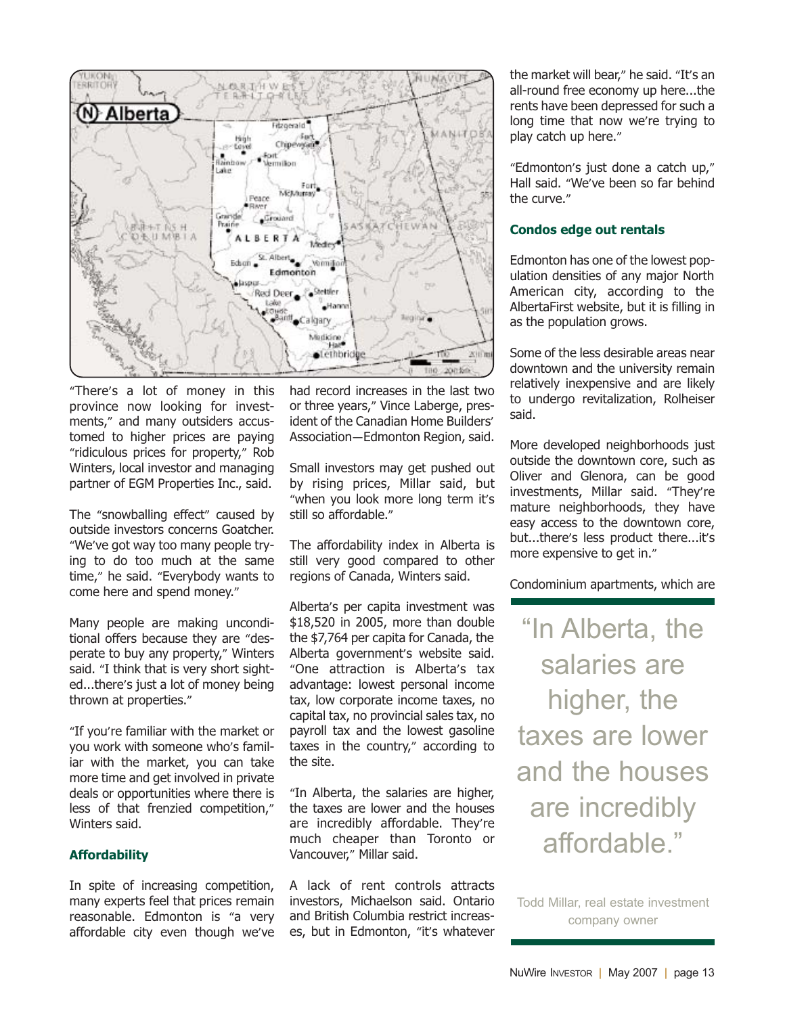

"There's a lot of money in this province now looking for investments," and many outsiders accustomed to higher prices are paying "ridiculous prices for property," Rob Winters, local investor and managing partner of EGM Properties Inc., said.

The "snowballing effect" caused by outside investors concerns Goatcher. "We've got way too many people trying to do too much at the same time," he said. "Everybody wants to come here and spend money."

Many people are making unconditional offers because they are "desperate to buy any property," Winters said. "I think that is very short sighted...there's just a lot of money being thrown at properties."

"If you're familiar with the market or you work with someone who's familiar with the market, you can take more time and get involved in private deals or opportunities where there is less of that frenzied competition," Winters said.

#### **Affordability**

In spite of increasing competition, many experts feel that prices remain reasonable. Edmonton is "a very affordable city even though we've had record increases in the last two or three years," Vince Laberge, president of the Canadian Home Builders' Association—Edmonton Region, said.

Small investors may get pushed out by rising prices, Millar said, but "when you look more long term it's still so affordable."

The affordability index in Alberta is still very good compared to other regions of Canada, Winters said.

Alberta's per capita investment was \$18,520 in 2005, more than double the \$7,764 per capita for Canada, the Alberta government's website said. "One attraction is Alberta's tax advantage: lowest personal income tax, low corporate income taxes, no capital tax, no provincial sales tax, no payroll tax and the lowest gasoline taxes in the country," according to the site.

"In Alberta, the salaries are higher, the taxes are lower and the houses are incredibly affordable. They're much cheaper than Toronto or Vancouver," Millar said.

A lack of rent controls attracts investors, Michaelson said. Ontario and British Columbia restrict increases, but in Edmonton, "it's whatever the market will bear," he said. "It's an all-round free economy up here...the rents have been depressed for such a long time that now we're trying to play catch up here."

"Edmonton's just done a catch up," Hall said. "We've been so far behind the curve."

#### **Condos edge out rentals**

Edmonton has one of the lowest population densities of any major North American city, according to the AlbertaFirst website, but it is filling in as the population grows.

Some of the less desirable areas near downtown and the university remain relatively inexpensive and are likely to undergo revitalization, Rolheiser said.

More developed neighborhoods just outside the downtown core, such as Oliver and Glenora, can be good investments, Millar said. "They're mature neighborhoods, they have easy access to the downtown core, but...there's less product there...it's more expensive to get in."

Condominium apartments, which are

"In Alberta, the salaries are higher, the taxes are lower and the houses are incredibly affordable."

Todd Millar, real estate investment company owner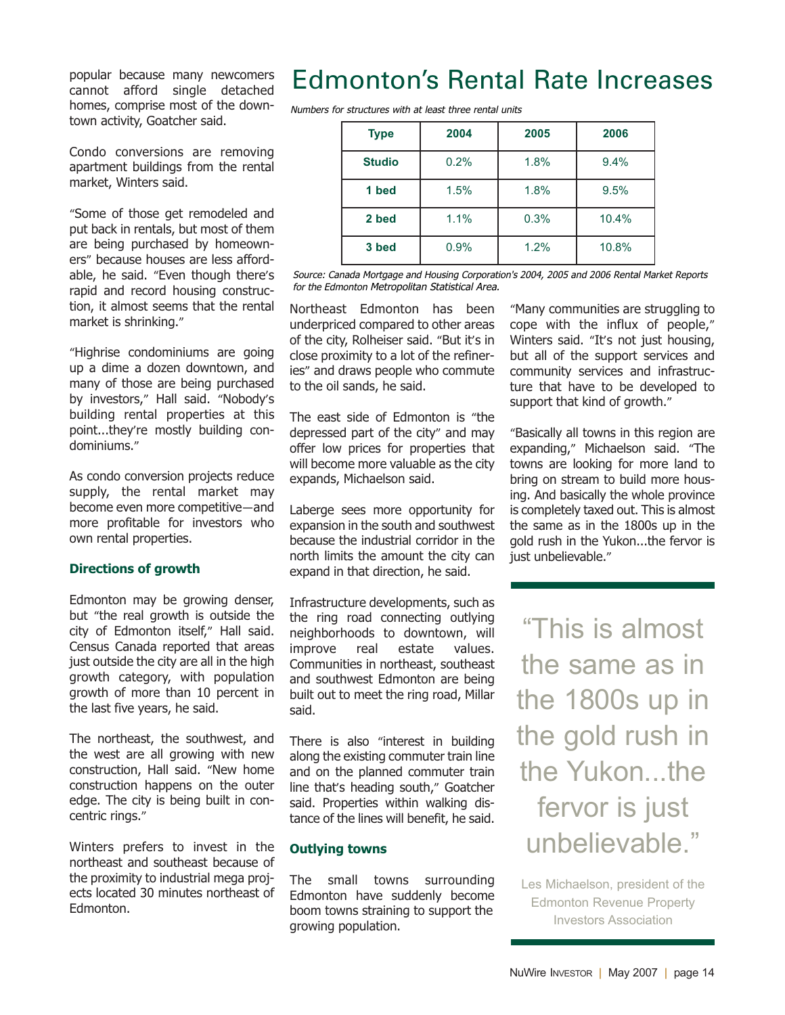popular because many newcomers cannot afford single detached homes, comprise most of the downtown activity, Goatcher said.

Condo conversions are removing apartment buildings from the rental market, Winters said.

"Some of those get remodeled and put back in rentals, but most of them are being purchased by homeowners" because houses are less affordable, he said. "Even though there's rapid and record housing construction, it almost seems that the rental market is shrinking."

"Highrise condominiums are going up a dime a dozen downtown, and many of those are being purchased by investors," Hall said. "Nobody's building rental properties at this point...they're mostly building condominiums."

As condo conversion projects reduce supply, the rental market may become even more competitive—and more profitable for investors who own rental properties.

#### **Directions of growth**

Edmonton may be growing denser, but "the real growth is outside the city of Edmonton itself," Hall said. Census Canada reported that areas just outside the city are all in the high growth category, with population growth of more than 10 percent in the last five years, he said.

The northeast, the southwest, and the west are all growing with new construction, Hall said. "New home construction happens on the outer edge. The city is being built in concentric rings."

Winters prefers to invest in the northeast and southeast because of the proximity to industrial mega projects located 30 minutes northeast of Edmonton.

### Edmonton's Rental Rate Increases

Numbers for structures with at least three rental units

| <b>Type</b>   | 2004 | 2005 | 2006  |
|---------------|------|------|-------|
| <b>Studio</b> | 0.2% | 1.8% | 9.4%  |
| 1 bed         | 1.5% | 1.8% | 9.5%  |
| 2 bed         | 1.1% | 0.3% | 10.4% |
| 3 bed         | 0.9% | 1.2% | 10.8% |

Source: Canada Mortgage and Housing Corporation's 2004, 2005 and 2006 Rental Market Reports for the Edmonton Metropolitan Statistical Area.

Northeast Edmonton has been underpriced compared to other areas of the city, Rolheiser said. "But it's in close proximity to a lot of the refineries" and draws people who commute to the oil sands, he said.

The east side of Edmonton is "the depressed part of the city" and may offer low prices for properties that will become more valuable as the city expands, Michaelson said.

Laberge sees more opportunity for expansion in the south and southwest because the industrial corridor in the north limits the amount the city can expand in that direction, he said.

Infrastructure developments, such as the ring road connecting outlying neighborhoods to downtown, will improve real estate values. Communities in northeast, southeast and southwest Edmonton are being built out to meet the ring road, Millar said.

There is also "interest in building along the existing commuter train line and on the planned commuter train line that's heading south," Goatcher said. Properties within walking distance of the lines will benefit, he said.

#### **Outlying towns**

The small towns surrounding Edmonton have suddenly become boom towns straining to support the growing population.

"Many communities are struggling to cope with the influx of people," Winters said. "It's not just housing, but all of the support services and community services and infrastructure that have to be developed to support that kind of growth."

"Basically all towns in this region are expanding," Michaelson said. "The towns are looking for more land to bring on stream to build more housing. And basically the whole province is completely taxed out. This is almost the same as in the 1800s up in the gold rush in the Yukon...the fervor is just unbelievable."

"This is almost the same as in the 1800s up in the gold rush in the Yukon the fervor is just unbelievable."

Les Michaelson, president of the Edmonton Revenue Property Investors Association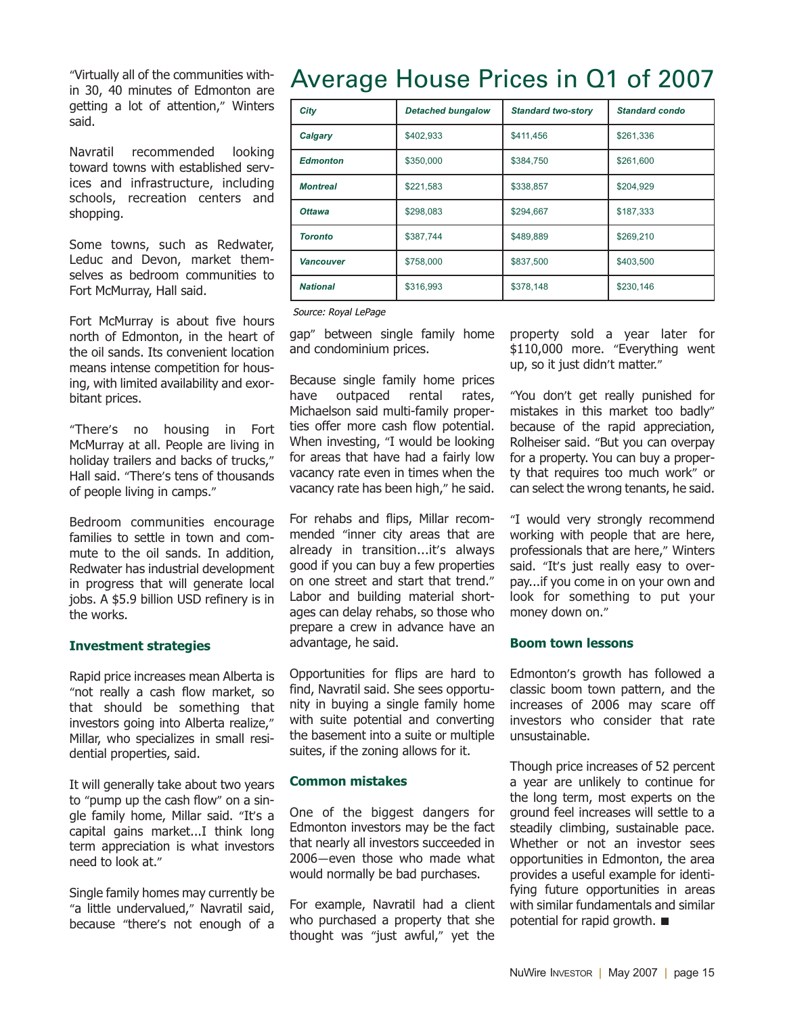"Virtually all of the communities within 30, 40 minutes of Edmonton are getting a lot of attention," Winters said.

Navratil recommended looking toward towns with established services and infrastructure, including schools, recreation centers and shopping.

Some towns, such as Redwater, Leduc and Devon, market themselves as bedroom communities to Fort McMurray, Hall said.

Fort McMurray is about five hours north of Edmonton, in the heart of the oil sands. Its convenient location means intense competition for housing, with limited availability and exorbitant prices.

"There's no housing in Fort McMurray at all. People are living in holiday trailers and backs of trucks," Hall said. "There's tens of thousands of people living in camps."

Bedroom communities encourage families to settle in town and commute to the oil sands. In addition, Redwater has industrial development in progress that will generate local jobs. A \$5.9 billion USD refinery is in the works.

#### **Investment strategies**

Rapid price increases mean Alberta is "not really a cash flow market, so that should be something that investors going into Alberta realize," Millar, who specializes in small residential properties, said.

It will generally take about two years to "pump up the cash flow" on a single family home, Millar said. "It's a capital gains market...I think long term appreciation is what investors need to look at."

Single family homes may currently be "a little undervalued," Navratil said, because "there's not enough of a

### Average House Prices in Q1 of 2007

| City             | <b>Detached bungalow</b> | <b>Standard two-story</b> | <b>Standard condo</b> |
|------------------|--------------------------|---------------------------|-----------------------|
| Calgary          | \$402,933                | \$411,456                 | \$261,336             |
| <b>Edmonton</b>  | \$350,000                | \$384,750                 | \$261,600             |
| <b>Montreal</b>  | \$221,583                | \$338,857                 | \$204,929             |
| <b>Ottawa</b>    | \$298,083                | \$294,667                 | \$187,333             |
| <b>Toronto</b>   | \$387,744                | \$489,889                 | \$269,210             |
| <b>Vancouver</b> | \$758,000                | \$837,500                 | \$403,500             |
| <b>National</b>  | \$316,993                | \$378,148                 | \$230,146             |

Source: Royal LePage

gap" between single family home and condominium prices.

Because single family home prices have outpaced rental rates, Michaelson said multi-family properties offer more cash flow potential. When investing, "I would be looking for areas that have had a fairly low vacancy rate even in times when the vacancy rate has been high," he said.

For rehabs and flips, Millar recommended "inner city areas that are already in transition...it's always good if you can buy a few properties on one street and start that trend." Labor and building material shortages can delay rehabs, so those who prepare a crew in advance have an advantage, he said.

Opportunities for flips are hard to find, Navratil said. She sees opportunity in buying a single family home with suite potential and converting the basement into a suite or multiple suites, if the zoning allows for it.

#### **Common mistakes**

One of the biggest dangers for Edmonton investors may be the fact that nearly all investors succeeded in 2006—even those who made what would normally be bad purchases.

For example, Navratil had a client who purchased a property that she thought was "just awful," yet the property sold a year later for \$110,000 more. "Everything went up, so it just didn't matter."

"You don't get really punished for mistakes in this market too badly" because of the rapid appreciation, Rolheiser said. "But you can overpay for a property. You can buy a property that requires too much work" or can select the wrong tenants, he said.

"I would very strongly recommend working with people that are here, professionals that are here," Winters said. "It's just really easy to overpay...if you come in on your own and look for something to put your money down on."

#### **Boom town lessons**

Edmonton's growth has followed a classic boom town pattern, and the increases of 2006 may scare off investors who consider that rate unsustainable.

Though price increases of 52 percent a year are unlikely to continue for the long term, most experts on the ground feel increases will settle to a steadily climbing, sustainable pace. Whether or not an investor sees opportunities in Edmonton, the area provides a useful example for identifying future opportunities in areas with similar fundamentals and similar potential for rapid growth. ■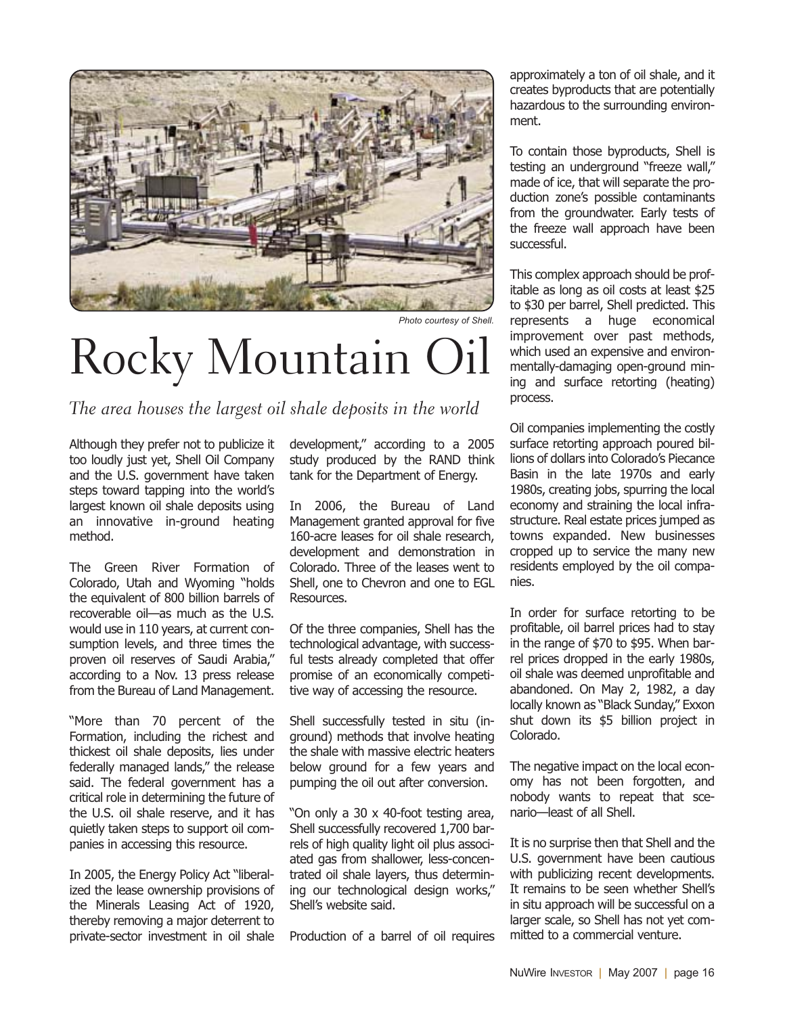

*Photo courtesy of Shell.*

# Rocky Mountain Oil

The area houses the largest oil shale deposits in the world

Although they prefer not to publicize it too loudly just yet, Shell Oil Company and the U.S. government have taken steps toward tapping into the world's largest known oil shale deposits using an innovative in-ground heating method.

The Green River Formation of Colorado, Utah and Wyoming "holds the equivalent of 800 billion barrels of recoverable oil—as much as the U.S. would use in 110 years, at current consumption levels, and three times the proven oil reserves of Saudi Arabia," according to a Nov. 13 press release from the Bureau of Land Management.

"More than 70 percent of the Formation, including the richest and thickest oil shale deposits, lies under federally managed lands," the release said. The federal government has a critical role in determining the future of the U.S. oil shale reserve, and it has quietly taken steps to support oil companies in accessing this resource.

In 2005, the Energy Policy Act "liberalized the lease ownership provisions of the Minerals Leasing Act of 1920, thereby removing a major deterrent to private-sector investment in oil shale development," according to a 2005 study produced by the RAND think tank for the Department of Energy.

In 2006, the Bureau of Land Management granted approval for five 160-acre leases for oil shale research, development and demonstration in Colorado. Three of the leases went to Shell, one to Chevron and one to EGL Resources.

Of the three companies, Shell has the technological advantage, with successful tests already completed that offer promise of an economically competitive way of accessing the resource.

Shell successfully tested in situ (inground) methods that involve heating the shale with massive electric heaters below ground for a few years and pumping the oil out after conversion.

"On only a 30 x 40-foot testing area, Shell successfully recovered 1,700 barrels of high quality light oil plus associated gas from shallower, less-concentrated oil shale layers, thus determining our technological design works," Shell's website said.

Production of a barrel of oil requires

approximately a ton of oil shale, and it creates byproducts that are potentially hazardous to the surrounding environment.

To contain those byproducts, Shell is testing an underground "freeze wall," made of ice, that will separate the production zone's possible contaminants from the groundwater. Early tests of the freeze wall approach have been successful.

This complex approach should be profitable as long as oil costs at least \$25 to \$30 per barrel, Shell predicted. This represents a huge economical improvement over past methods, which used an expensive and environmentally-damaging open-ground mining and surface retorting (heating) process.

Oil companies implementing the costly surface retorting approach poured billions of dollars into Colorado's Piecance Basin in the late 1970s and early 1980s, creating jobs, spurring the local economy and straining the local infrastructure. Real estate prices jumped as towns expanded. New businesses cropped up to service the many new residents employed by the oil companies.

In order for surface retorting to be profitable, oil barrel prices had to stay in the range of \$70 to \$95. When barrel prices dropped in the early 1980s, oil shale was deemed unprofitable and abandoned. On May 2, 1982, a day locally known as "Black Sunday," Exxon shut down its \$5 billion project in Colorado.

The negative impact on the local economy has not been forgotten, and nobody wants to repeat that scenario—least of all Shell.

It is no surprise then that Shell and the U.S. government have been cautious with publicizing recent developments. It remains to be seen whether Shell's in situ approach will be successful on a larger scale, so Shell has not yet committed to a commercial venture.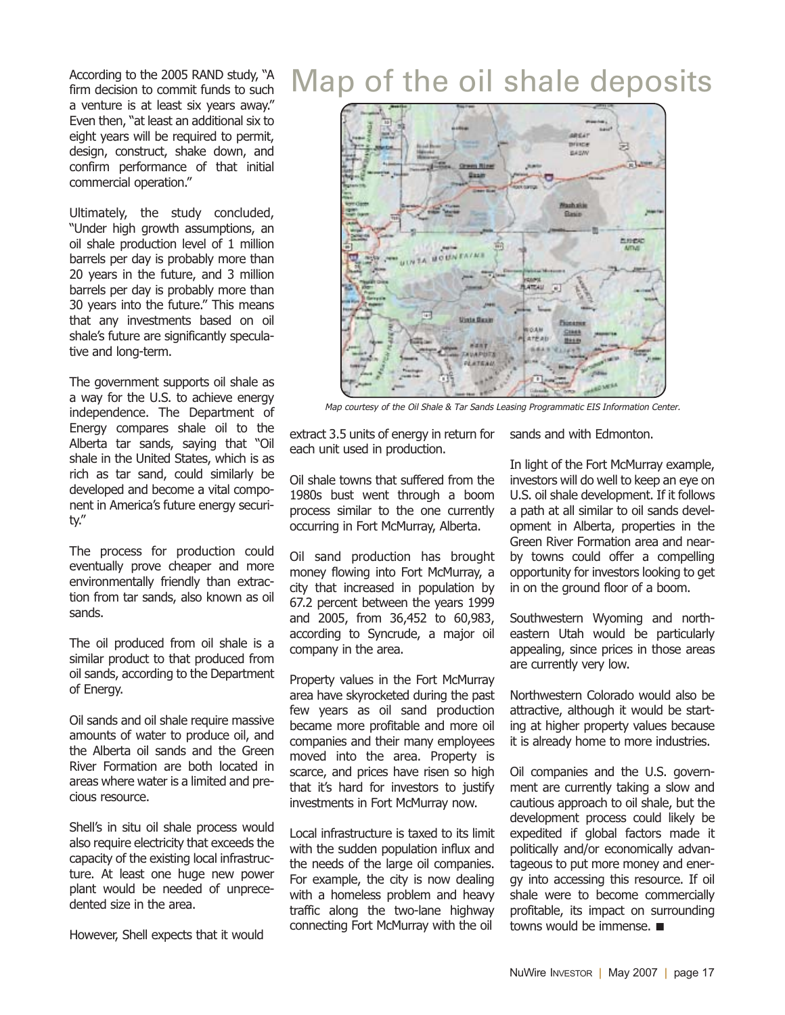According to the 2005 RAND study, "A firm decision to commit funds to such a venture is at least six years away." Even then, "at least an additional six to eight years will be required to permit, design, construct, shake down, and confirm performance of that initial commercial operation."

Ultimately, the study concluded, "Under high growth assumptions, an oil shale production level of 1 million barrels per day is probably more than 20 years in the future, and 3 million barrels per day is probably more than 30 years into the future." This means that any investments based on oil shale's future are significantly speculative and long-term.

The government supports oil shale as a way for the U.S. to achieve energy independence. The Department of Energy compares shale oil to the Alberta tar sands, saying that "Oil shale in the United States, which is as rich as tar sand, could similarly be developed and become a vital component in America's future energy security."

The process for production could eventually prove cheaper and more environmentally friendly than extraction from tar sands, also known as oil sands.

The oil produced from oil shale is a similar product to that produced from oil sands, according to the Department of Energy.

Oil sands and oil shale require massive amounts of water to produce oil, and the Alberta oil sands and the Green River Formation are both located in areas where water is a limited and precious resource.

Shell's in situ oil shale process would also require electricity that exceeds the capacity of the existing local infrastructure. At least one huge new power plant would be needed of unprecedented size in the area.

However, Shell expects that it would

### Map of the oil shale deposits



Map courtesy of the Oil Shale & Tar Sands Leasing Programmatic EIS Information Center.

extract 3.5 units of energy in return for each unit used in production.

Oil shale towns that suffered from the 1980s bust went through a boom process similar to the one currently occurring in Fort McMurray, Alberta.

Oil sand production has brought money flowing into Fort McMurray, a city that increased in population by 67.2 percent between the years 1999 and 2005, from 36,452 to 60,983, according to Syncrude, a major oil company in the area.

Property values in the Fort McMurray area have skyrocketed during the past few years as oil sand production became more profitable and more oil companies and their many employees moved into the area. Property is scarce, and prices have risen so high that it's hard for investors to justify investments in Fort McMurray now.

Local infrastructure is taxed to its limit with the sudden population influx and the needs of the large oil companies. For example, the city is now dealing with a homeless problem and heavy traffic along the two-lane highway connecting Fort McMurray with the oil

sands and with Edmonton.

In light of the Fort McMurray example, investors will do well to keep an eye on U.S. oil shale development. If it follows a path at all similar to oil sands development in Alberta, properties in the Green River Formation area and nearby towns could offer a compelling opportunity for investors looking to get in on the ground floor of a boom.

Southwestern Wyoming and northeastern Utah would be particularly appealing, since prices in those areas are currently very low.

Northwestern Colorado would also be attractive, although it would be starting at higher property values because it is already home to more industries.

Oil companies and the U.S. government are currently taking a slow and cautious approach to oil shale, but the development process could likely be expedited if global factors made it politically and/or economically advantageous to put more money and energy into accessing this resource. If oil shale were to become commercially profitable, its impact on surrounding towns would be immense. ■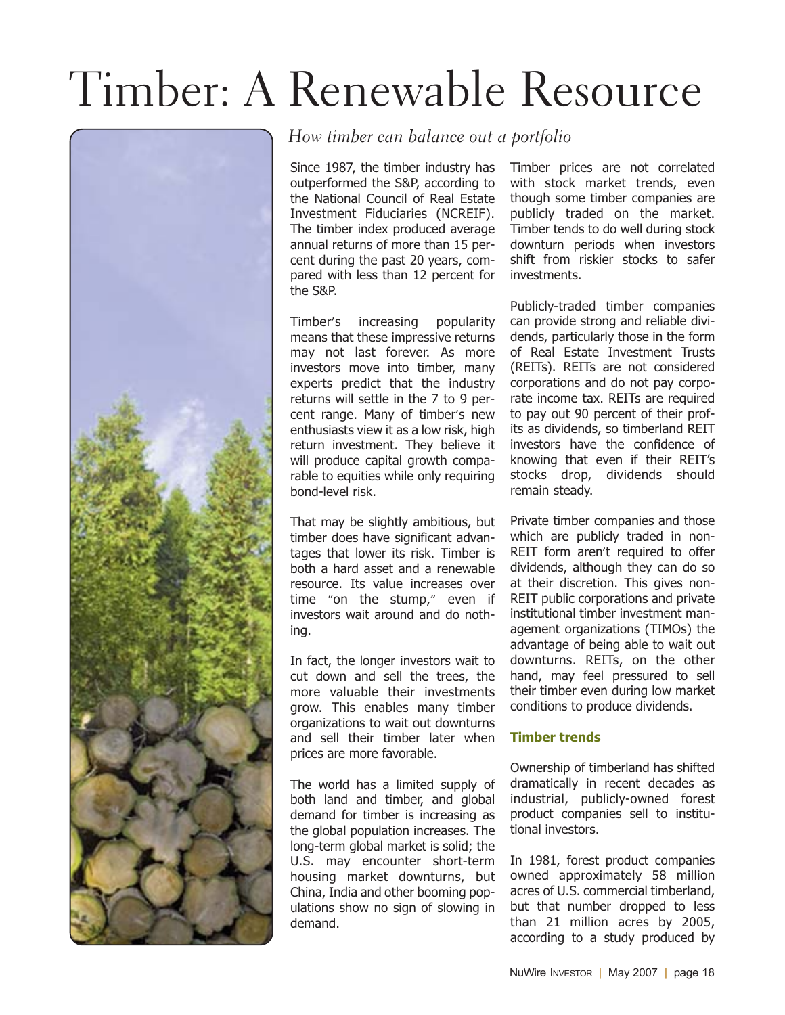# Timber: A Renewable Resource



#### How timber can balance out a portfolio

Since 1987, the timber industry has outperformed the S&P, according to the National Council of Real Estate Investment Fiduciaries (NCREIF). The timber index produced average annual returns of more than 15 percent during the past 20 years, compared with less than 12 percent for the S&P.

Timber's increasing popularity means that these impressive returns may not last forever. As more investors move into timber, many experts predict that the industry returns will settle in the 7 to 9 percent range. Many of timber's new enthusiasts view it as a low risk, high return investment. They believe it will produce capital growth comparable to equities while only requiring bond-level risk.

That may be slightly ambitious, but timber does have significant advantages that lower its risk. Timber is both a hard asset and a renewable resource. Its value increases over time "on the stump," even if investors wait around and do nothing.

In fact, the longer investors wait to cut down and sell the trees, the more valuable their investments grow. This enables many timber organizations to wait out downturns and sell their timber later when prices are more favorable.

The world has a limited supply of both land and timber, and global demand for timber is increasing as the global population increases. The long-term global market is solid; the U.S. may encounter short-term housing market downturns, but China, India and other booming populations show no sign of slowing in demand.

Timber prices are not correlated with stock market trends, even though some timber companies are publicly traded on the market. Timber tends to do well during stock downturn periods when investors shift from riskier stocks to safer investments.

Publicly-traded timber companies can provide strong and reliable dividends, particularly those in the form of Real Estate Investment Trusts (REITs). REITs are not considered corporations and do not pay corporate income tax. REITs are required to pay out 90 percent of their profits as dividends, so timberland REIT investors have the confidence of knowing that even if their REIT's stocks drop, dividends should remain steady.

Private timber companies and those which are publicly traded in non-REIT form aren't required to offer dividends, although they can do so at their discretion. This gives non-REIT public corporations and private institutional timber investment management organizations (TIMOs) the advantage of being able to wait out downturns. REITs, on the other hand, may feel pressured to sell their timber even during low market conditions to produce dividends.

#### **Timber trends**

Ownership of timberland has shifted dramatically in recent decades as industrial, publicly-owned forest product companies sell to institutional investors.

In 1981, forest product companies owned approximately 58 million acres of U.S. commercial timberland, but that number dropped to less than 21 million acres by 2005, according to a study produced by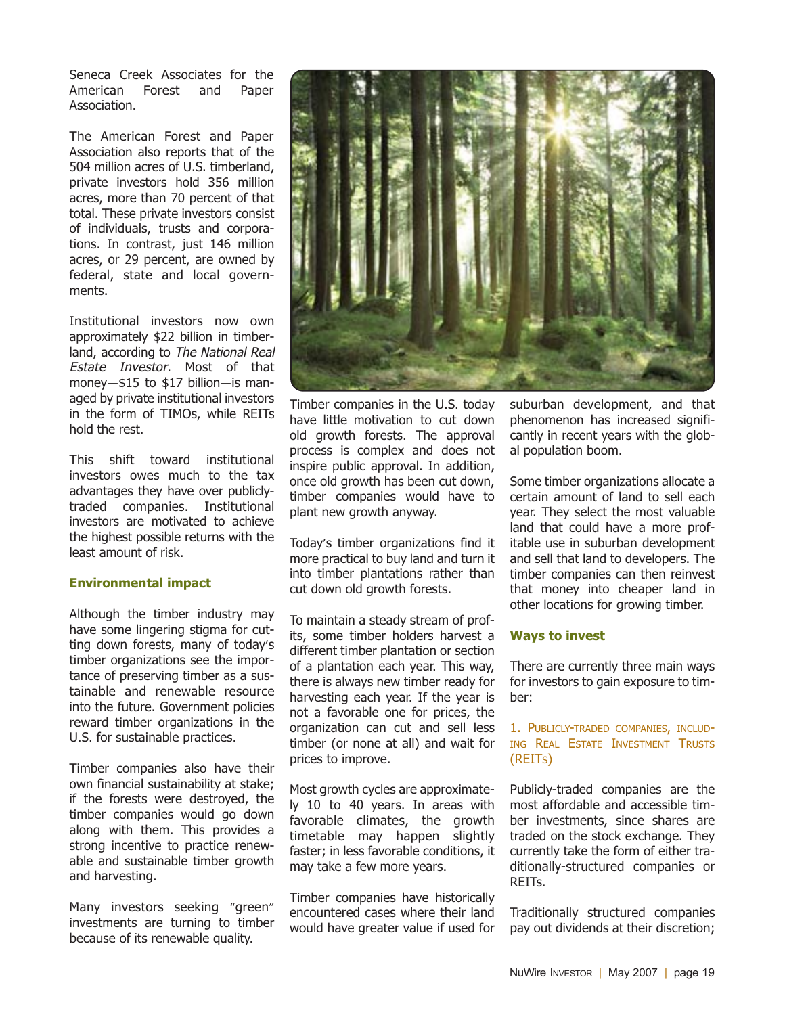Seneca Creek Associates for the American Forest and Paper Association.

The American Forest and Paper Association also reports that of the 504 million acres of U.S. timberland, private investors hold 356 million acres, more than 70 percent of that total. These private investors consist of individuals, trusts and corporations. In contrast, just 146 million acres, or 29 percent, are owned by federal, state and local governments.

Institutional investors now own approximately \$22 billion in timberland, according to The National Real Estate Investor. Most of that money—\$15 to \$17 billion—is managed by private institutional investors in the form of TIMOs, while REITs hold the rest.

This shift toward institutional investors owes much to the tax advantages they have over publiclytraded companies. Institutional investors are motivated to achieve the highest possible returns with the least amount of risk.

#### **Environmental impact**

Although the timber industry may have some lingering stigma for cutting down forests, many of today's timber organizations see the importance of preserving timber as a sustainable and renewable resource into the future. Government policies reward timber organizations in the U.S. for sustainable practices.

Timber companies also have their own financial sustainability at stake; if the forests were destroyed, the timber companies would go down along with them. This provides a strong incentive to practice renewable and sustainable timber growth and harvesting.

Many investors seeking "green" investments are turning to timber because of its renewable quality.



Timber companies in the U.S. today have little motivation to cut down old growth forests. The approval process is complex and does not inspire public approval. In addition, once old growth has been cut down, timber companies would have to plant new growth anyway.

Today's timber organizations find it more practical to buy land and turn it into timber plantations rather than cut down old growth forests.

To maintain a steady stream of profits, some timber holders harvest a different timber plantation or section of a plantation each year. This way, there is always new timber ready for harvesting each year. If the year is not a favorable one for prices, the organization can cut and sell less timber (or none at all) and wait for prices to improve.

Most growth cycles are approximately 10 to 40 years. In areas with favorable climates, the growth timetable may happen slightly faster; in less favorable conditions, it may take a few more years.

Timber companies have historically encountered cases where their land would have greater value if used for

suburban development, and that phenomenon has increased significantly in recent years with the global population boom.

Some timber organizations allocate a certain amount of land to sell each year. They select the most valuable land that could have a more profitable use in suburban development and sell that land to developers. The timber companies can then reinvest that money into cheaper land in other locations for growing timber.

#### **Ways to invest**

There are currently three main ways for investors to gain exposure to timber:

#### 1. PUBLICLY-TRADED COMPANIES, INCLUD-ING REAL ESTATE INVESTMENT TRUSTS (REITS)

Publicly-traded companies are the most affordable and accessible timber investments, since shares are traded on the stock exchange. They currently take the form of either traditionally-structured companies or REITs.

Traditionally structured companies pay out dividends at their discretion;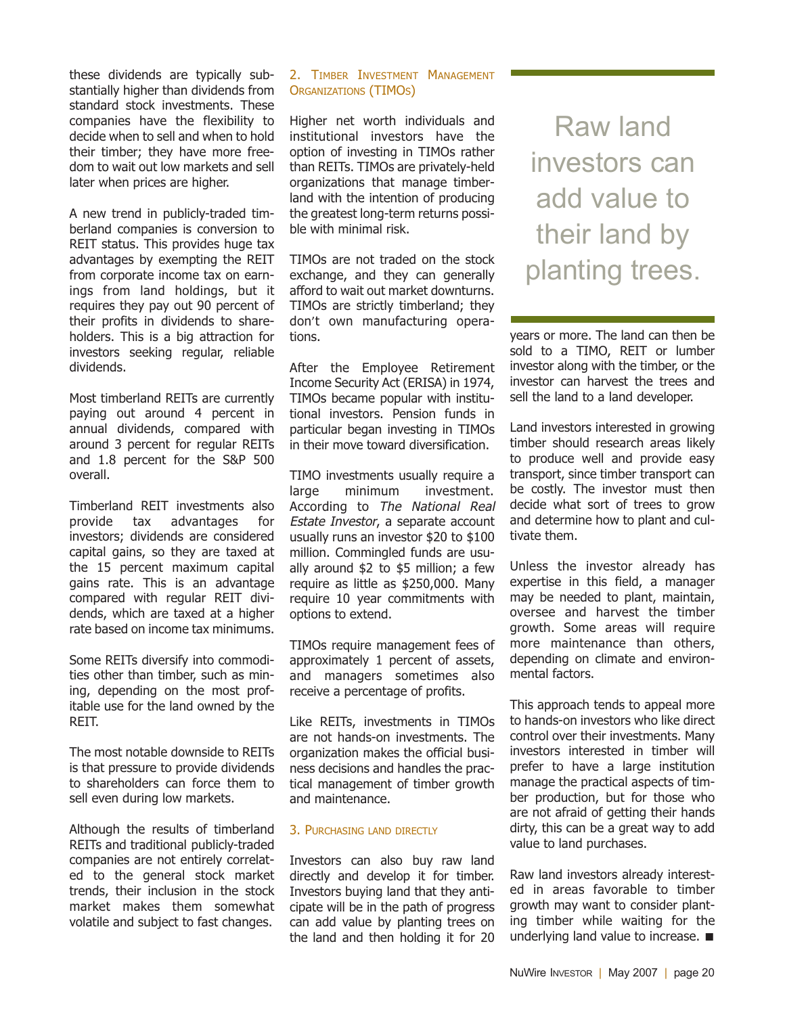these dividends are typically substantially higher than dividends from standard stock investments. These companies have the flexibility to decide when to sell and when to hold their timber; they have more freedom to wait out low markets and sell later when prices are higher.

A new trend in publicly-traded timberland companies is conversion to REIT status. This provides huge tax advantages by exempting the REIT from corporate income tax on earnings from land holdings, but it requires they pay out 90 percent of their profits in dividends to shareholders. This is a big attraction for investors seeking regular, reliable dividends.

Most timberland REITs are currently paying out around 4 percent in annual dividends, compared with around 3 percent for regular REITs and 1.8 percent for the S&P 500 overall.

Timberland REIT investments also provide tax advantages for investors; dividends are considered capital gains, so they are taxed at the 15 percent maximum capital gains rate. This is an advantage compared with regular REIT dividends, which are taxed at a higher rate based on income tax minimums.

Some REITs diversify into commodities other than timber, such as mining, depending on the most profitable use for the land owned by the REIT.

The most notable downside to REITs is that pressure to provide dividends to shareholders can force them to sell even during low markets.

Although the results of timberland REITs and traditional publicly-traded companies are not entirely correlated to the general stock market trends, their inclusion in the stock market makes them somewhat volatile and subject to fast changes.

#### 2. TIMBER INVESTMENT MANAGEMENT ORGANIZATIONS (TIMOS)

Higher net worth individuals and institutional investors have the option of investing in TIMOs rather than REITs. TIMOs are privately-held organizations that manage timberland with the intention of producing the greatest long-term returns possible with minimal risk.

TIMOs are not traded on the stock exchange, and they can generally afford to wait out market downturns. TIMOs are strictly timberland; they don't own manufacturing operations.

After the Employee Retirement Income Security Act (ERISA) in 1974, TIMOs became popular with institutional investors. Pension funds in particular began investing in TIMOs in their move toward diversification.

TIMO investments usually require a large minimum investment. According to The National Real Estate Investor, a separate account usually runs an investor \$20 to \$100 million. Commingled funds are usually around \$2 to \$5 million; a few require as little as \$250,000. Many require 10 year commitments with options to extend.

TIMOs require management fees of approximately 1 percent of assets, and managers sometimes also receive a percentage of profits.

Like REITs, investments in TIMOs are not hands-on investments. The organization makes the official business decisions and handles the practical management of timber growth and maintenance.

#### 3. PURCHASING LAND DIRECTLY

Investors can also buy raw land directly and develop it for timber. Investors buying land that they anticipate will be in the path of progress can add value by planting trees on the land and then holding it for 20

Raw land investors can add value to their land by planting trees.

years or more. The land can then be sold to a TIMO, REIT or lumber investor along with the timber, or the investor can harvest the trees and sell the land to a land developer.

Land investors interested in growing timber should research areas likely to produce well and provide easy transport, since timber transport can be costly. The investor must then decide what sort of trees to grow and determine how to plant and cultivate them.

Unless the investor already has expertise in this field, a manager may be needed to plant, maintain, oversee and harvest the timber growth. Some areas will require more maintenance than others, depending on climate and environmental factors.

This approach tends to appeal more to hands-on investors who like direct control over their investments. Many investors interested in timber will prefer to have a large institution manage the practical aspects of timber production, but for those who are not afraid of getting their hands dirty, this can be a great way to add value to land purchases.

Raw land investors already interested in areas favorable to timber growth may want to consider planting timber while waiting for the underlying land value to increase. ■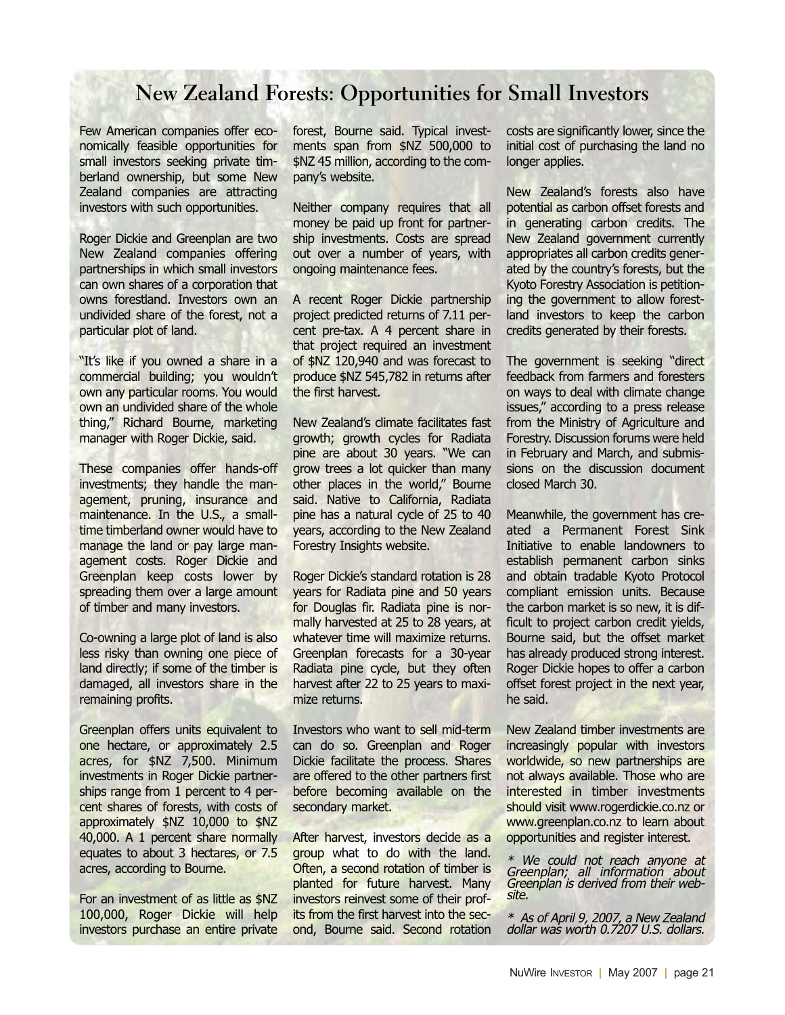#### **New Zealand Forests: Opportunities for Small Investors**

Few American companies offer economically feasible opportunities for small investors seeking private timberland ownership, but some New Zealand companies are attracting investors with such opportunities.

Roger Dickie and Greenplan are two New Zealand companies offering partnerships in which small investors can own shares of a corporation that owns forestland. Investors own an undivided share of the forest, not a particular plot of land.

"It's like if you owned a share in a commercial building; you wouldn't own any particular rooms. You would own an undivided share of the whole thing," Richard Bourne, marketing manager with Roger Dickie, said.

These companies offer hands-off investments; they handle the management, pruning, insurance and maintenance. In the U.S., a smalltime timberland owner would have to manage the land or pay large management costs. Roger Dickie and Greenplan keep costs lower by spreading them over a large amount of timber and many investors.

Co-owning a large plot of land is also less risky than owning one piece of land directly; if some of the timber is damaged, all investors share in the remaining profits.

Greenplan offers units equivalent to one hectare, or approximately 2.5 acres, for \$NZ 7,500. Minimum investments in Roger Dickie partnerships range from 1 percent to 4 percent shares of forests, with costs of approximately \$NZ 10,000 to \$NZ 40,000. A 1 percent share normally equates to about 3 hectares, or 7.5 acres, according to Bourne.

For an investment of as little as \$NZ 100,000, Roger Dickie will help investors purchase an entire private forest, Bourne said. Typical investments span from \$NZ 500,000 to \$NZ 45 million, according to the company's website.

Neither company requires that all money be paid up front for partnership investments. Costs are spread out over a number of years, with ongoing maintenance fees.

A recent Roger Dickie partnership project predicted returns of 7.11 percent pre-tax. A 4 percent share in that project required an investment of \$NZ 120,940 and was forecast to produce \$NZ 545,782 in returns after the first harvest.

New Zealand's climate facilitates fast growth; growth cycles for Radiata pine are about 30 years. "We can grow trees a lot quicker than many other places in the world," Bourne said. Native to California, Radiata pine has a natural cycle of 25 to 40 years, according to the New Zealand Forestry Insights website.

Roger Dickie's standard rotation is 28 years for Radiata pine and 50 years for Douglas fir. Radiata pine is normally harvested at 25 to 28 years, at whatever time will maximize returns. Greenplan forecasts for a 30-year Radiata pine cycle, but they often harvest after 22 to 25 years to maximize returns.

Investors who want to sell mid-term can do so. Greenplan and Roger Dickie facilitate the process. Shares are offered to the other partners first before becoming available on the secondary market.

After harvest, investors decide as a group what to do with the land. Often, a second rotation of timber is planted for future harvest. Many investors reinvest some of their profits from the first harvest into the second, Bourne said. Second rotation

costs are significantly lower, since the initial cost of purchasing the land no longer applies.

New Zealand's forests also have potential as carbon offset forests and in generating carbon credits. The New Zealand government currently appropriates all carbon credits generated by the country's forests, but the Kyoto Forestry Association is petitioning the government to allow forestland investors to keep the carbon credits generated by their forests.

The government is seeking "direct feedback from farmers and foresters on ways to deal with climate change issues," according to a press release from the Ministry of Agriculture and Forestry. Discussion forums were held in February and March, and submissions on the discussion document closed March 30.

Meanwhile, the government has created a Permanent Forest Sink Initiative to enable landowners to establish permanent carbon sinks and obtain tradable Kyoto Protocol compliant emission units. Because the carbon market is so new, it is difficult to project carbon credit yields, Bourne said, but the offset market has already produced strong interest. Roger Dickie hopes to offer a carbon offset forest project in the next year, he said.

New Zealand timber investments are increasingly popular with investors worldwide, so new partnerships are not always available. Those who are interested in timber investments should visit www.rogerdickie.co.nz or www.greenplan.co.nz to learn about opportunities and register interest.

\* We could not reach anyone at Greenplan; all information about Greenplan is derived from their website.

\* As of April 9, 2007, <sup>a</sup> New Zealand dollar was worth 0.7207 U.S. dollars.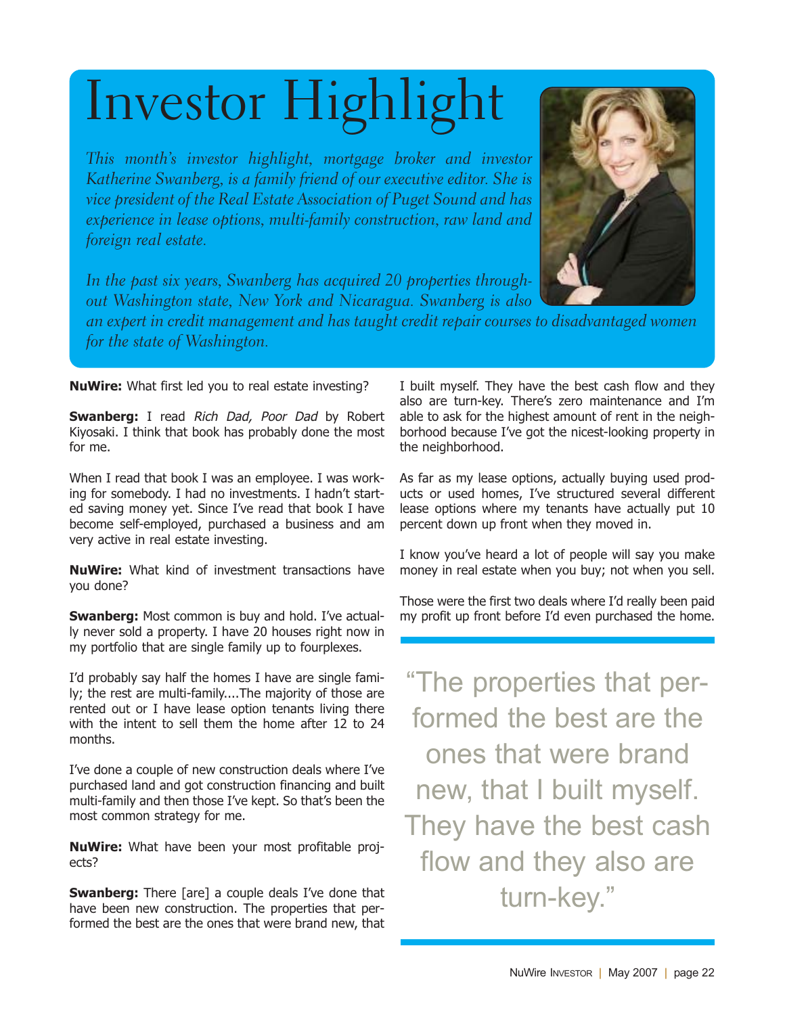# Investor Highlight

This month's investor highlight, mortgage broker and investor Katherine Swanberg, is a family friend of our executive editor. She is vice president of the Real Estate Association of Puget Sound and has experience in lease options, multi-family construction, raw land and foreign real estate.



In the past six years, Swanberg has acquired 20 properties through out Washington state, New York and Nicaragua. Swanberg is also

an expert in credit management and has taught credit repair courses to disadvantaged women for the state of Washington.

**NuWire:** What first led you to real estate investing?

**Swanberg:** I read Rich Dad, Poor Dad by Robert Kiyosaki. I think that book has probably done the most for me.

When I read that book I was an employee. I was working for somebody. I had no investments. I hadn't started saving money yet. Since I've read that book I have become self-employed, purchased a business and am very active in real estate investing.

**NuWire:** What kind of investment transactions have you done?

**Swanberg:** Most common is buy and hold. I've actually never sold a property. I have 20 houses right now in my portfolio that are single family up to fourplexes.

I'd probably say half the homes I have are single family; the rest are multi-family....The majority of those are rented out or I have lease option tenants living there with the intent to sell them the home after 12 to 24 months.

I've done a couple of new construction deals where I've purchased land and got construction financing and built multi-family and then those I've kept. So that's been the most common strategy for me.

**NuWire:** What have been your most profitable projects?

**Swanberg:** There [are] a couple deals I've done that have been new construction. The properties that performed the best are the ones that were brand new, that I built myself. They have the best cash flow and they also are turn-key. There's zero maintenance and I'm able to ask for the highest amount of rent in the neighborhood because I've got the nicest-looking property in the neighborhood.

As far as my lease options, actually buying used products or used homes, I've structured several different lease options where my tenants have actually put 10 percent down up front when they moved in.

I know you've heard a lot of people will say you make money in real estate when you buy; not when you sell.

Those were the first two deals where I'd really been paid my profit up front before I'd even purchased the home.

"The properties that performed the best are the ones that were brand new, that I built myself. They have the best cash flow and they also are turn-key."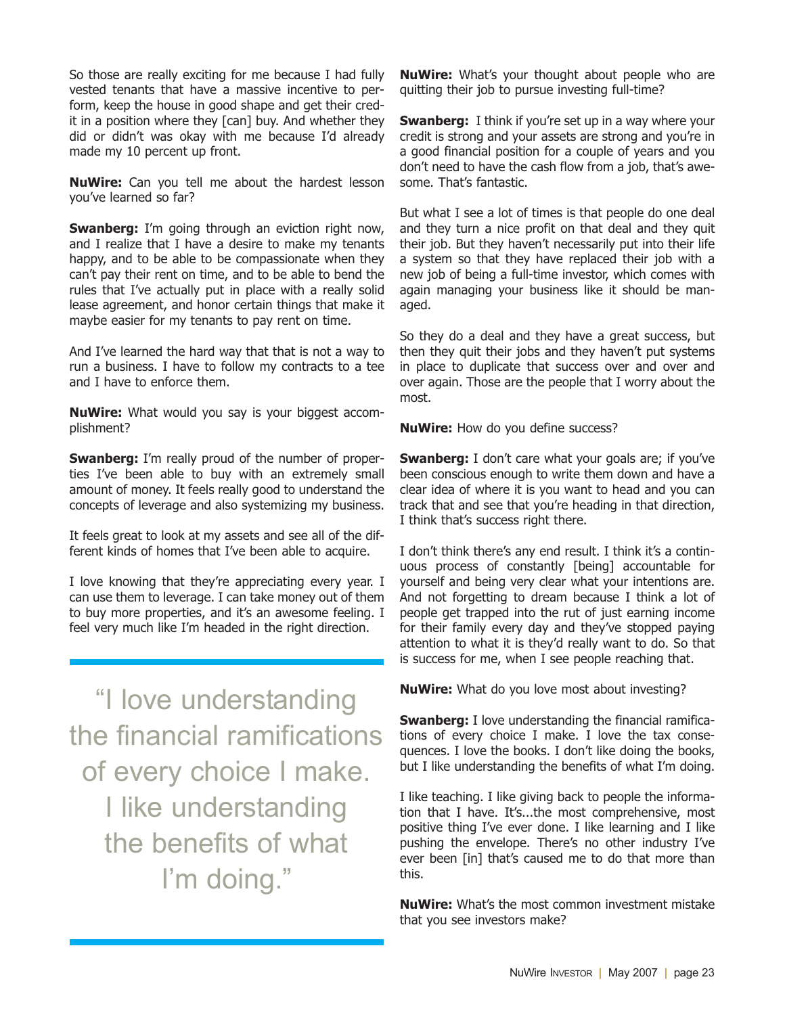So those are really exciting for me because I had fully vested tenants that have a massive incentive to perform, keep the house in good shape and get their credit in a position where they [can] buy. And whether they did or didn't was okay with me because I'd already made my 10 percent up front.

**NuWire:** Can you tell me about the hardest lesson you've learned so far?

**Swanberg:** I'm going through an eviction right now, and I realize that I have a desire to make my tenants happy, and to be able to be compassionate when they can't pay their rent on time, and to be able to bend the rules that I've actually put in place with a really solid lease agreement, and honor certain things that make it maybe easier for my tenants to pay rent on time.

And I've learned the hard way that that is not a way to run a business. I have to follow my contracts to a tee and I have to enforce them.

**NuWire:** What would you say is your biggest accomplishment?

**Swanberg:** I'm really proud of the number of properties I've been able to buy with an extremely small amount of money. It feels really good to understand the concepts of leverage and also systemizing my business.

It feels great to look at my assets and see all of the different kinds of homes that I've been able to acquire.

I love knowing that they're appreciating every year. I can use them to leverage. I can take money out of them to buy more properties, and it's an awesome feeling. I feel very much like I'm headed in the right direction.

"I love understanding the financial ramifications of every choice I make. I like understanding the benefits of what I'm doing."

**NuWire:** What's your thought about people who are quitting their job to pursue investing full-time?

**Swanberg:** I think if you're set up in a way where your credit is strong and your assets are strong and you're in a good financial position for a couple of years and you don't need to have the cash flow from a job, that's awesome. That's fantastic.

But what I see a lot of times is that people do one deal and they turn a nice profit on that deal and they quit their job. But they haven't necessarily put into their life a system so that they have replaced their job with a new job of being a full-time investor, which comes with again managing your business like it should be managed.

So they do a deal and they have a great success, but then they quit their jobs and they haven't put systems in place to duplicate that success over and over and over again. Those are the people that I worry about the most.

**NuWire:** How do you define success?

**Swanberg:** I don't care what your goals are; if you've been conscious enough to write them down and have a clear idea of where it is you want to head and you can track that and see that you're heading in that direction, I think that's success right there.

I don't think there's any end result. I think it's a continuous process of constantly [being] accountable for yourself and being very clear what your intentions are. And not forgetting to dream because I think a lot of people get trapped into the rut of just earning income for their family every day and they've stopped paying attention to what it is they'd really want to do. So that is success for me, when I see people reaching that.

**NuWire:** What do you love most about investing?

**Swanberg:** I love understanding the financial ramifications of every choice I make. I love the tax consequences. I love the books. I don't like doing the books, but I like understanding the benefits of what I'm doing.

I like teaching. I like giving back to people the information that I have. It's...the most comprehensive, most positive thing I've ever done. I like learning and I like pushing the envelope. There's no other industry I've ever been [in] that's caused me to do that more than this.

**NuWire:** What's the most common investment mistake that you see investors make?